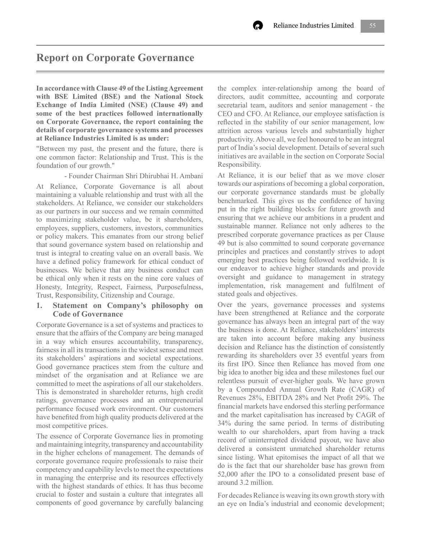

# **Report on Corporate Governance**

**In accordance with Clause 49 of the Listing Agreement with BSE Limited (BSE) and the National Stock Exchange of India Limited (NSE) (Clause 49) and some of the best practices followed internationally on Corporate Governance, the report containing the details of corporate governance systems and processes at Reliance Industries Limited is as under:**

"Between my past, the present and the future, there is one common factor: Relationship and Trust. This is the foundation of our growth."

- Founder Chairman Shri Dhirubhai H. Ambani

At Reliance, Corporate Governance is all about maintaining a valuable relationship and trust with all the stakeholders. At Reliance, we consider our stakeholders as our partners in our success and we remain committed to maximizing stakeholder value, be it shareholders, employees, suppliers, customers, investors, communities or policy makers. This emanates from our strong belief that sound governance system based on relationship and trust is integral to creating value on an overall basis. We have a defined policy framework for ethical conduct of businesses. We believe that any business conduct can be ethical only when it rests on the nine core values of Honesty, Integrity, Respect, Fairness, Purposefulness, Trust, Responsibility, Citizenship and Courage.

### **1. Statement on Company's philosophy on Code of Governance**

Corporate Governance is a set of systems and practices to ensure that the affairs of the Company are being managed in a way which ensures accountability, transparency, fairness in all its transactions in the widest sense and meet its stakeholders' aspirations and societal expectations. Good governance practices stem from the culture and mindset of the organisation and at Reliance we are committed to meet the aspirations of all our stakeholders. This is demonstrated in shareholder returns, high credit ratings, governance processes and an entrepreneurial performance focused work environment. Our customers have benefited from high quality products delivered at the most competitive prices.

The essence of Corporate Governance lies in promoting and maintaining integrity, transparency and accountability in the higher echelons of management. The demands of corporate governance require professionals to raise their competency and capability levels to meet the expectations in managing the enterprise and its resources effectively with the highest standards of ethics. It has thus become crucial to foster and sustain a culture that integrates all components of good governance by carefully balancing the complex inter-relationship among the board of directors, audit committee, accounting and corporate secretarial team, auditors and senior management - the CEO and CFO. At Reliance, our employee satisfaction is reflected in the stability of our senior management, low attrition across various levels and substantially higher productivity. Above all, we feel honoured to be an integral part of India's social development. Details of several such initiatives are available in the section on Corporate Social Responsibility.

At Reliance, it is our belief that as we move closer towards our aspirations of becoming a global corporation, our corporate governance standards must be globally benchmarked. This gives us the confidence of having put in the right building blocks for future growth and ensuring that we achieve our ambitions in a prudent and sustainable manner. Reliance not only adheres to the prescribed corporate governance practices as per Clause 49 but is also committed to sound corporate governance principles and practices and constantly strives to adopt emerging best practices being followed worldwide. It is our endeavor to achieve higher standards and provide oversight and guidance to management in strategy implementation, risk management and fulfilment of stated goals and objectives.

Over the years, governance processes and systems have been strengthened at Reliance and the corporate governance has always been an integral part of the way the business is done. At Reliance, stakeholders' interests are taken into account before making any business decision and Reliance has the distinction of consistently rewarding its shareholders over 35 eventful years from its first IPO. Since then Reliance has moved from one big idea to another big idea and these milestones fuel our relentless pursuit of ever-higher goals. We have grown by a Compounded Annual Growth Rate (CAGR) of Revenues 28%, EBITDA 28% and Net Profit 29%. The financial markets have endorsed this sterling performance and the market capitalisation has increased by CAGR of 34% during the same period. In terms of distributing wealth to our shareholders, apart from having a track record of uninterrupted dividend payout, we have also delivered a consistent unmatched shareholder returns since listing. What epitomises the impact of all that we do is the fact that our shareholder base has grown from 52,000 after the IPO to a consolidated present base of around 3.2 million.

For decades Reliance is weaving its own growth story with an eye on India's industrial and economic development;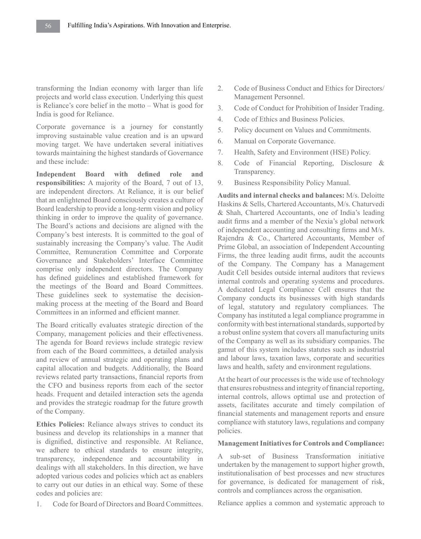transforming the Indian economy with larger than life projects and world class execution. Underlying this quest is Reliance's core belief in the motto – What is good for India is good for Reliance.

Corporate governance is a journey for constantly improving sustainable value creation and is an upward moving target. We have undertaken several initiatives towards maintaining the highest standards of Governance and these include:

**Independent Board with defined role and responsibilities:** A majority of the Board, 7 out of 13, are independent directors. At Reliance, it is our belief that an enlightened Board consciously creates a culture of Board leadership to provide a long-term vision and policy thinking in order to improve the quality of governance. The Board's actions and decisions are aligned with the Company's best interests. It is committed to the goal of sustainably increasing the Company's value. The Audit Committee, Remuneration Committee and Corporate Governance and Stakeholders' Interface Committee comprise only independent directors. The Company has defined guidelines and established framework for the meetings of the Board and Board Committees. These guidelines seek to systematise the decisionmaking process at the meeting of the Board and Board Committees in an informed and efficient manner.

The Board critically evaluates strategic direction of the Company, management policies and their effectiveness. The agenda for Board reviews include strategic review from each of the Board committees, a detailed analysis and review of annual strategic and operating plans and capital allocation and budgets. Additionally, the Board reviews related party transactions, financial reports from the CFO and business reports from each of the sector heads. Frequent and detailed interaction sets the agenda and provides the strategic roadmap for the future growth of the Company.

**Ethics Policies:** Reliance always strives to conduct its business and develop its relationships in a manner that is dignified, distinctive and responsible. At Reliance, we adhere to ethical standards to ensure integrity, transparency, independence and accountability in dealings with all stakeholders. In this direction, we have adopted various codes and policies which act as enablers to carry out our duties in an ethical way. Some of these codes and policies are:

1. Code for Board of Directors and Board Committees.

- 2. Code of Business Conduct and Ethics for Directors/ Management Personnel.
- 3. Code of Conduct for Prohibition of Insider Trading.
- 4. Code of Ethics and Business Policies.
- 5. Policy document on Values and Commitments.
- 6. Manual on Corporate Governance.
- 7. Health, Safety and Environment (HSE) Policy.
- 8. Code of Financial Reporting, Disclosure & Transparency.
- 9. Business Responsibility Policy Manual.

**Audits and internal checks and balances:** M/s. Deloitte Haskins & Sells, Chartered Accountants, M/s. Chaturvedi & Shah, Chartered Accountants, one of India's leading audit firms and a member of the Nexia's global network of independent accounting and consulting firms and M/s. Rajendra & Co., Chartered Accountants, Member of Prime Global, an association of Independent Accounting Firms, the three leading audit firms, audit the accounts of the Company. The Company has a Management Audit Cell besides outside internal auditors that reviews internal controls and operating systems and procedures. A dedicated Legal Compliance Cell ensures that the Company conducts its businesses with high standards of legal, statutory and regulatory compliances. The Company has instituted a legal compliance programme in conformity with best international standards, supported by a robust online system that covers all manufacturing units of the Company as well as its subsidiary companies. The gamut of this system includes statutes such as industrial and labour laws, taxation laws, corporate and securities laws and health, safety and environment regulations.

At the heart of our processes is the wide use of technology that ensures robustness and integrity of financial reporting, internal controls, allows optimal use and protection of assets, facilitates accurate and timely compilation of financial statements and management reports and ensure compliance with statutory laws, regulations and company policies.

#### **Management Initiatives for Controls and Compliance:**

A sub-set of Business Transformation initiative undertaken by the management to support higher growth, institutionalisation of best processes and new structures for governance, is dedicated for management of risk, controls and compliances across the organisation.

Reliance applies a common and systematic approach to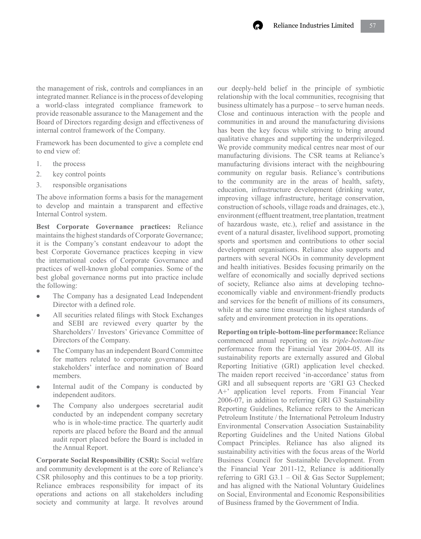the management of risk, controls and compliances in an integrated manner. Reliance is in the process of developing a world-class integrated compliance framework to provide reasonable assurance to the Management and the Board of Directors regarding design and effectiveness of internal control framework of the Company.

Framework has been documented to give a complete end to end view of:

- 1. the process
- 2. key control points
- 3. responsible organisations

The above information forms a basis for the management to develop and maintain a transparent and effective Internal Control system.

**Best Corporate Governance practices:** Reliance maintains the highest standards of Corporate Governance; it is the Company's constant endeavour to adopt the best Corporate Governance practices keeping in view the international codes of Corporate Governance and practices of well-known global companies. Some of the best global governance norms put into practice include the following:

- The Company has a designated Lead Independent Director with a defined role.
- All securities related filings with Stock Exchanges and SEBI are reviewed every quarter by the Shareholders'/ Investors' Grievance Committee of Directors of the Company.
- The Company has an independent Board Committee for matters related to corporate governance and stakeholders' interface and nomination of Board members.
- Internal audit of the Company is conducted by independent auditors.
- The Company also undergoes secretarial audit conducted by an independent company secretary who is in whole-time practice. The quarterly audit reports are placed before the Board and the annual audit report placed before the Board is included in the Annual Report.

**Corporate Social Responsibility (CSR):** Social welfare and community development is at the core of Reliance's CSR philosophy and this continues to be a top priority. Reliance embraces responsibility for impact of its operations and actions on all stakeholders including society and community at large. It revolves around our deeply-held belief in the principle of symbiotic relationship with the local communities, recognising that business ultimately has a purpose – to serve human needs. Close and continuous interaction with the people and communities in and around the manufacturing divisions has been the key focus while striving to bring around qualitative changes and supporting the underprivileged. We provide community medical centres near most of our manufacturing divisions. The CSR teams at Reliance's manufacturing divisions interact with the neighbouring community on regular basis. Reliance's contributions to the community are in the areas of health, safety, education, infrastructure development (drinking water, improving village infrastructure, heritage conservation, construction of schools, village roads and drainages, etc.), environment (effluent treatment, tree plantation, treatment of hazardous waste, etc.), relief and assistance in the event of a natural disaster, livelihood support, promoting sports and sportsmen and contributions to other social development organisations. Reliance also supports and partners with several NGOs in community development and health initiatives. Besides focusing primarily on the welfare of economically and socially deprived sections of society, Reliance also aims at developing technoeconomically viable and environment-friendly products and services for the benefit of millions of its consumers, while at the same time ensuring the highest standards of safety and environment protection in its operations.

**Reporting on triple-bottom-line performance:** Reliance commenced annual reporting on its *triple-bottom-line* performance from the Financial Year 2004-05. All its sustainability reports are externally assured and Global Reporting Initiative (GRI) application level checked. The maiden report received 'in-accordance' status from GRI and all subsequent reports are 'GRI G3 Checked A+' application level reports. From Financial Year 2006-07, in addition to referring GRI G3 Sustainability Reporting Guidelines, Reliance refers to the American Petroleum Institute / the International Petroleum Industry Environmental Conservation Association Sustainability Reporting Guidelines and the United Nations Global Compact Principles. Reliance has also aligned its sustainability activities with the focus areas of the World Business Council for Sustainable Development. From the Financial Year 2011-12, Reliance is additionally referring to GRI G3.1 – Oil & Gas Sector Supplement; and has aligned with the National Voluntary Guidelines on Social, Environmental and Economic Responsibilities of Business framed by the Government of India.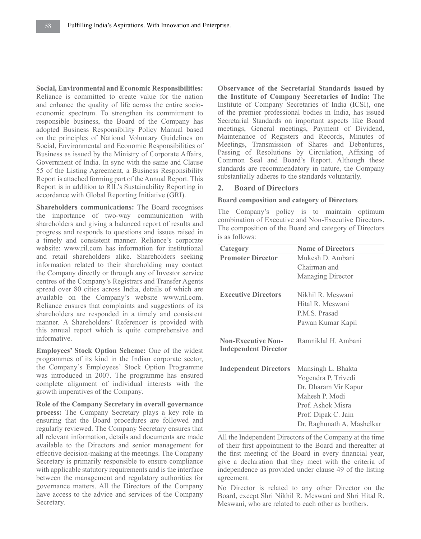**Social, Environmental and Economic Responsibilities:**  Reliance is committed to create value for the nation and enhance the quality of life across the entire socioeconomic spectrum. To strengthen its commitment to responsible business, the Board of the Company has adopted Business Responsibility Policy Manual based on the principles of National Voluntary Guidelines on Social, Environmental and Economic Responsibilities of Business as issued by the Ministry of Corporate Affairs, Government of India. In sync with the same and Clause 55 of the Listing Agreement, a Business Responsibility Report is attached forming part of the Annual Report. This Report is in addition to RIL's Sustainability Reporting in accordance with Global Reporting Initiative (GRI).

**Shareholders communications:** The Board recognises the importance of two-way communication with shareholders and giving a balanced report of results and progress and responds to questions and issues raised in a timely and consistent manner. Reliance's corporate website: www.ril.com has information for institutional and retail shareholders alike. Shareholders seeking information related to their shareholding may contact the Company directly or through any of Investor service centres of the Company's Registrars and Transfer Agents spread over 80 cities across India, details of which are available on the Company's website www.ril.com. Reliance ensures that complaints and suggestions of its shareholders are responded in a timely and consistent manner. A Shareholders' Referencer is provided with this annual report which is quite comprehensive and informative.

**Employees' Stock Option Scheme:** One of the widest programmes of its kind in the Indian corporate sector, the Company's Employees' Stock Option Programme was introduced in 2007. The programme has ensured complete alignment of individual interests with the growth imperatives of the Company.

**Role of the Company Secretary in overall governance process:** The Company Secretary plays a key role in ensuring that the Board procedures are followed and regularly reviewed. The Company Secretary ensures that all relevant information, details and documents are made available to the Directors and senior management for effective decision-making at the meetings. The Company Secretary is primarily responsible to ensure compliance with applicable statutory requirements and is the interface between the management and regulatory authorities for governance matters. All the Directors of the Company have access to the advice and services of the Company Secretary.

**Observance of the Secretarial Standards issued by the Institute of Company Secretaries of India:** The Institute of Company Secretaries of India (ICSI), one of the premier professional bodies in India, has issued Secretarial Standards on important aspects like Board meetings, General meetings, Payment of Dividend, Maintenance of Registers and Records, Minutes of Meetings, Transmission of Shares and Debentures, Passing of Resolutions by Circulation, Affixing of Common Seal and Board's Report. Although these standards are recommendatory in nature, the Company substantially adheres to the standards voluntarily.

# **2. Board of Directors**

#### **Board composition and category of Directors**

The Company's policy is to maintain optimum combination of Executive and Non-Executive Directors. The composition of the Board and category of Directors is as follows:

| Category                                                 | <b>Name of Directors</b>   |
|----------------------------------------------------------|----------------------------|
| <b>Promoter Director</b>                                 | Mukesh D. Ambani           |
|                                                          | Chairman and               |
|                                                          | Managing Director          |
| <b>Executive Directors</b>                               | Nikhil R. Meswani          |
|                                                          | Hital R. Meswani           |
|                                                          | P.M.S. Prasad              |
|                                                          | Pawan Kumar Kapil          |
| <b>Non-Executive Non-</b><br><b>Independent Director</b> | Ramniklal H. Ambani        |
| <b>Independent Directors</b>                             | Mansingh L. Bhakta         |
|                                                          | Yogendra P. Trivedi        |
|                                                          | Dr. Dharam Vir Kapur       |
|                                                          | Mahesh P. Modi             |
|                                                          | Prof. Ashok Misra          |
|                                                          | Prof. Dipak C. Jain        |
|                                                          | Dr. Raghunath A. Mashelkar |

All the Independent Directors of the Company at the time of their first appointment to the Board and thereafter at the first meeting of the Board in every financial year, give a declaration that they meet with the criteria of independence as provided under clause 49 of the listing agreement.

No Director is related to any other Director on the Board, except Shri Nikhil R. Meswani and Shri Hital R. Meswani, who are related to each other as brothers.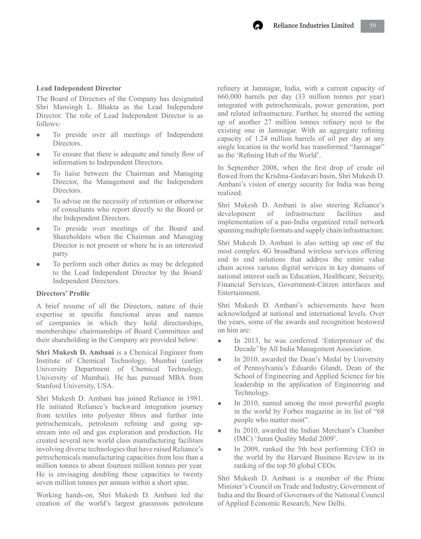### **Lead Independent Director**

The Board of Directors of the Company has designated Shri Mansingh L. Bhakta as the Lead Independent Director. The role of Lead Independent Director is as follows:

- To preside over all meetings of Independent Directors.
- To ensure that there is adequate and timely flow of information to Independent Directors.
- To liaise between the Chairman and Managing Director, the Management and the Independent Directors.
- <sup>l</sup> To advise on the necessity of retention or otherwise of consultants who report directly to the Board or the Independent Directors.
- To preside over meetings of the Board and Shareholders when the Chairman and Managing Director is not present or where he is an interested party.
- To perform such other duties as may be delegated to the Lead Independent Director by the Board/ Independent Directors.

### **Directors' Profile**

A brief resume of all the Directors, nature of their expertise in specific functional areas and names of companies in which they hold directorships, memberships/ chairmanships of Board Committees and their shareholding in the Company are provided below:

**Shri Mukesh D. Ambani** is a Chemical Engineer from Institute of Chemical Technology, Mumbai (earlier University Department of Chemical Technology, University of Mumbai). He has pursued MBA from Stanford University, USA.

Shri Mukesh D. Ambani has joined Reliance in 1981. He initiated Reliance's backward integration journey from textiles into polyester fibres and further into petrochemicals, petroleum refining and going upstream into oil and gas exploration and production. He created several new world class manufacturing facilities involving diverse technologies that have raised Reliance's petrochemicals manufacturing capacities from less than a million tonnes to about fourteen million tonnes per year. He is envisaging doubling these capacities to twenty seven million tonnes per annum within a short span.

Working hands-on, Shri Mukesh D. Ambani led the creation of the world's largest grassroots petroleum refinery at Jamnagar, India, with a current capacity of 660,000 barrels per day (33 million tonnes per year) integrated with petrochemicals, power generation, port and related infrastructure. Further, he steered the setting up of another 27 million tonnes refinery next to the existing one in Jamnagar. With an aggregate refining capacity of 1.24 million barrels of oil per day at any single location in the world has transformed "Jamnagar" as the 'Refining Hub of the World'.

In September 2008, when the first drop of crude oil flowed from the Krishna-Godavari basin, Shri Mukesh D. Ambani's vision of energy security for India was being realized.

Shri Mukesh D. Ambani is also steering Reliance's development of infrastructure facilities and implementation of a pan-India organized retail network spanning multiple formats and supply chain infrastructure.

Shri Mukesh D. Ambani is also setting up one of the most complex 4G broadband wireless services offering end to end solutions that address the entire value chain across various digital services in key domains of national interest such as Education, Healthcare, Security, Financial Services, Government-Citizen interfaces and Entertainment.

Shri Mukesh D. Ambani's achievements have been acknowledged at national and international levels. Over the years, some of the awards and recognition bestowed on him are:

- In 2013, he was conferred 'Enterprenuer of the Decade' by All India Management Association.
- $\bullet$  In 2010, awarded the Dean's Medal by University of Pennsylvania's Eduardo Glandt, Dean of the School of Engineering and Applied Science for his leadership in the application of Engineering and Technology.
- In 2010, named among the most powerful people in the world by Forbes magazine in its list of "68 people who matter most".
- In 2010, awarded the Indian Merchant's Chamber (IMC) 'Juran Quality Medal 2009'.
- In 2009, ranked the 5th best performing CEO in the world by the Harvard Business Review in its ranking of the top 50 global CEOs.

Shri Mukesh D. Ambani is a member of the Prime Minister's Council on Trade and Industry, Government of India and the Board of Governors of the National Council of Applied Economic Research, New Delhi.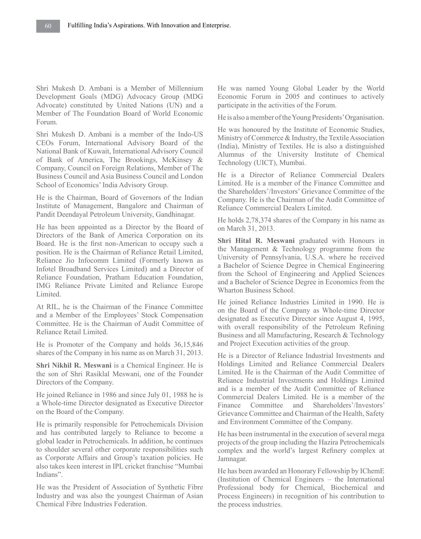Shri Mukesh D. Ambani is a Member of Millennium Development Goals (MDG) Advocacy Group (MDG Advocate) constituted by United Nations (UN) and a Member of The Foundation Board of World Economic Forum.

Shri Mukesh D. Ambani is a member of the Indo-US CEOs Forum, International Advisory Board of the National Bank of Kuwait, International Advisory Council of Bank of America, The Brookings, McKinsey & Company, Council on Foreign Relations, Member of The Business Council and Asia Business Council and London School of Economics' India Advisory Group.

He is the Chairman, Board of Governors of the Indian Institute of Management, Bangalore and Chairman of Pandit Deendayal Petroleum University, Gandhinagar.

He has been appointed as a Director by the Board of Directors of the Bank of America Corporation on its Board. He is the first non-American to occupy such a position. He is the Chairman of Reliance Retail Limited, Reliance Jio Infocomm Limited (Formerly known as Infotel Broadband Services Limited) and a Director of Reliance Foundation, Pratham Education Foundation, IMG Reliance Private Limited and Reliance Europe Limited.

At RIL, he is the Chairman of the Finance Committee and a Member of the Employees' Stock Compensation Committee. He is the Chairman of Audit Committee of Reliance Retail Limited.

He is Promoter of the Company and holds 36,15,846 shares of the Company in his name as on March 31, 2013.

**Shri Nikhil R. Meswani** is a Chemical Engineer. He is the son of Shri Rasiklal Meswani, one of the Founder Directors of the Company.

He joined Reliance in 1986 and since July 01, 1988 he is a Whole-time Director designated as Executive Director on the Board of the Company.

He is primarily responsible for Petrochemicals Division and has contributed largely to Reliance to become a global leader in Petrochemicals. In addition, he continues to shoulder several other corporate responsibilities such as Corporate Affairs and Group's taxation policies. He also takes keen interest in IPL cricket franchise "Mumbai Indians".

He was the President of Association of Synthetic Fibre Industry and was also the youngest Chairman of Asian Chemical Fibre Industries Federation.

He was named Young Global Leader by the World Economic Forum in 2005 and continues to actively participate in the activities of the Forum.

He is also a member of the Young Presidents' Organisation.

He was honoured by the Institute of Economic Studies, Ministry of Commerce & Industry, the Textile Association (India), Ministry of Textiles. He is also a distinguished Alumnus of the University Institute of Chemical Technology (UICT), Mumbai.

He is a Director of Reliance Commercial Dealers Limited. He is a member of the Finance Committee and the Shareholders'/Investors' Grievance Committee of the Company. He is the Chairman of the Audit Committee of Reliance Commercial Dealers Limited.

He holds 2,78,374 shares of the Company in his name as on March 31, 2013.

**Shri Hital R. Meswani** graduated with Honours in the Management & Technology programme from the University of Pennsylvania, U.S.A. where he received a Bachelor of Science Degree in Chemical Engineering from the School of Engineering and Applied Sciences and a Bachelor of Science Degree in Economics from the Wharton Business School.

He joined Reliance Industries Limited in 1990. He is on the Board of the Company as Whole-time Director designated as Executive Director since August 4, 1995, with overall responsibility of the Petroleum Refining Business and all Manufacturing, Research & Technology and Project Execution activities of the group.

He is a Director of Reliance Industrial Investments and Holdings Limited and Reliance Commercial Dealers Limited. He is the Chairman of the Audit Committee of Reliance Industrial Investments and Holdings Limited and is a member of the Audit Committee of Reliance Commercial Dealers Limited. He is a member of the Finance Committee and Shareholders'/Investors' Grievance Committee and Chairman of the Health, Safety and Environment Committee of the Company.

He has been instrumental in the execution of several mega projects of the group including the Hazira Petrochemicals complex and the world's largest Refinery complex at Jamnagar.

He has been awarded an Honorary Fellowship by IChemE (Institution of Chemical Engineers – the International Professional body for Chemical, Biochemical and Process Engineers) in recognition of his contribution to the process industries.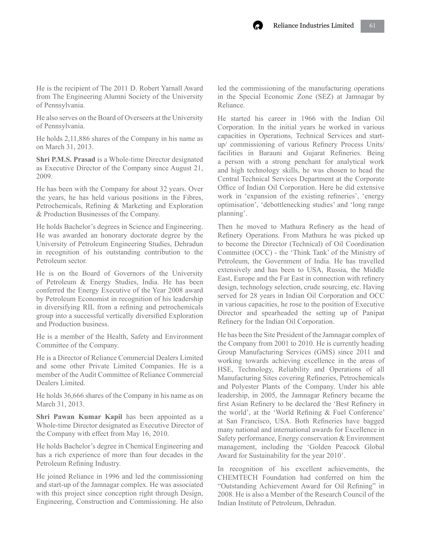He is the recipient of The 2011 D. Robert Yarnall Award from The Engineering Alumni Society of the University of Pennsylvania.

He also serves on the Board of Overseers at the University of Pennsylvania.

He holds 2,11,886 shares of the Company in his name as on March 31, 2013.

**Shri P.M.S. Prasad** is a Whole-time Director designated as Executive Director of the Company since August 21, 2009.

He has been with the Company for about 32 years. Over the years, he has held various positions in the Fibres, Petrochemicals, Refining & Marketing and Exploration & Production Businesses of the Company.

He holds Bachelor's degrees in Science and Engineering. He was awarded an honorary doctorate degree by the University of Petroleum Engineering Studies, Dehradun in recognition of his outstanding contribution to the Petroleum sector.

He is on the Board of Governors of the University of Petroleum & Energy Studies, India. He has been conferred the Energy Executive of the Year 2008 award by Petroleum Economist in recognition of his leadership in diversifying RIL from a refining and petrochemicals group into a successful vertically diversified Exploration and Production business.

He is a member of the Health, Safety and Environment Committee of the Company.

He is a Director of Reliance Commercial Dealers Limited and some other Private Limited Companies. He is a member of the Audit Committee of Reliance Commercial Dealers Limited.

He holds 36,666 shares of the Company in his name as on March 31, 2013.

**Shri Pawan Kumar Kapil** has been appointed as a Whole-time Director designated as Executive Director of the Company with effect from May 16, 2010.

He holds Bachelor's degree in Chemical Engineering and has a rich experience of more than four decades in the Petroleum Refining Industry.

He joined Reliance in 1996 and led the commissioning and start-up of the Jamnagar complex. He was associated with this project since conception right through Design, Engineering, Construction and Commissioning. He also

led the commissioning of the manufacturing operations in the Special Economic Zone (SEZ) at Jamnagar by Reliance.

He started his career in 1966 with the Indian Oil Corporation. In the initial years he worked in various capacities in Operations, Technical Services and startup/ commissioning of various Refinery Process Units/ facilities in Barauni and Gujarat Refineries. Being a person with a strong penchant for analytical work and high technology skills, he was chosen to head the Central Technical Services Department at the Corporate Office of Indian Oil Corporation. Here he did extensive work in 'expansion of the existing refineries', 'energy optimisation', 'debottlenecking studies' and 'long range planning'.

Then he moved to Mathura Refinery as the head of Refinery Operations. From Mathura he was picked up to become the Director (Technical) of Oil Coordination Committee (OCC) - the 'Think Tank' of the Ministry of Petroleum, the Government of India. He has travelled extensively and has been to USA, Russia, the Middle East, Europe and the Far East in connection with refinery design, technology selection, crude sourcing, etc. Having served for 28 years in Indian Oil Corporation and OCC in various capacities, he rose to the position of Executive Director and spearheaded the setting up of Panipat Refinery for the Indian Oil Corporation.

He has been the Site President of the Jamnagar complex of the Company from 2001 to 2010. He is currently heading Group Manufacturing Services (GMS) since 2011 and working towards achieving excellence in the areas of HSE, Technology, Reliability and Operations of all Manufacturing Sites covering Refineries, Petrochemicals and Polyester Plants of the Company. Under his able leadership, in 2005, the Jamnagar Refinery became the first Asian Refinery to be declared the 'Best Refinery in the world', at the 'World Refining & Fuel Conference' at San Francisco, USA. Both Refineries have bagged many national and international awards for Excellence in Safety performance, Energy conservation & Environment management, including the 'Golden Peacock Global Award for Sustainability for the year 2010'.

In recognition of his excellent achievements, the CHEMTECH Foundation had conferred on him the "Outstanding Achievement Award for Oil Refining" in 2008. He is also a Member of the Research Council of the Indian Institute of Petroleum, Dehradun.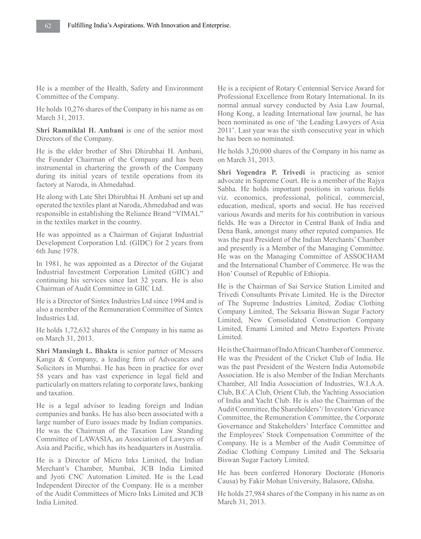He is a member of the Health, Safety and Environment Committee of the Company.

He holds 10,276 shares of the Company in his name as on March 31, 2013.

**Shri Ramniklal H. Ambani** is one of the senior most Directors of the Company.

He is the elder brother of Shri Dhirubhai H. Ambani, the Founder Chairman of the Company and has been instrumental in chartering the growth of the Company during its initial years of textile operations from its factory at Naroda, in Ahmedabad.

He along with Late Shri Dhirubhai H. Ambani set up and operated the textiles plant at Naroda, Ahmedabad and was responsible in establishing the Reliance Brand "VIMAL" in the textiles market in the country.

He was appointed as a Chairman of Gujarat Industrial Development Corporation Ltd. (GIDC) for 2 years from 6th June 1978.

In 1981, he was appointed as a Director of the Gujarat Industrial Investment Corporation Limited (GIIC) and continuing his services since last 32 years. He is also Chairman of Audit Committee in GIIC Ltd.

He is a Director of Sintex Industries Ltd since 1994 and is also a member of the Remuneration Committee of Sintex Industries Ltd.

He holds 1,72,632 shares of the Company in his name as on March 31, 2013.

**Shri Mansingh L. Bhakta** is senior partner of Messers Kanga & Company, a leading firm of Advocates and Solicitors in Mumbai. He has been in practice for over 58 years and has vast experience in legal field and particularly on matters relating to corporate laws, banking and taxation.

He is a legal advisor to leading foreign and Indian companies and banks. He has also been associated with a large number of Euro issues made by Indian companies. He was the Chairman of the Taxation Law Standing Committee of LAWASIA, an Association of Lawyers of Asia and Pacific, which has its headquarters in Australia.

He is a Director of Micro Inks Limited, the Indian Merchant's Chamber, Mumbai, JCB India Limited and Jyoti CNC Automation Limited. He is the Lead Independent Director of the Company. He is a member of the Audit Committees of Micro Inks Limited and JCB India Limited.

He is a recipient of Rotary Centennial Service Award for Professional Excellence from Rotary International. In its normal annual survey conducted by Asia Law Journal, Hong Kong, a leading International law journal, he has been nominated as one of 'the Leading Lawyers of Asia 2011'. Last year was the sixth consecutive year in which he has been so nominated.

He holds 3,20,000 shares of the Company in his name as on March 31, 2013.

**Shri Yogendra P. Trivedi** is practicing as senior advocate in Supreme Court. He is a member of the Rajya Sabha. He holds important positions in various fields viz. economics, professional, political, commercial, education, medical, sports and social. He has received various Awards and merits for his contribution in various fields. He was a Director in Central Bank of India and Dena Bank, amongst many other reputed companies. He was the past President of the Indian Merchants' Chamber and presently is a Member of the Managing Committee. He was on the Managing Committee of ASSOCHAM and the International Chamber of Commerce. He was the Hon' Counsel of Republic of Ethiopia.

He is the Chairman of Sai Service Station Limited and Trivedi Consultants Private Limited. He is the Director of The Supreme Industries Limited, Zodiac Clothing Company Limited, The Seksaria Biswan Sugar Factory Limited, New Consolidated Construction Company Limited, Emami Limited and Metro Exporters Private Limited.

He is the Chairman of Indo African Chamber of Commerce. He was the President of the Cricket Club of India. He was the past President of the Western India Automobile Association. He is also Member of the Indian Merchants Chamber, All India Association of Industries, W.I.A.A. Club, B.C.A Club, Orient Club, the Yachting Association of India and Yacht Club. He is also the Chairman of the Audit Committee, the Shareholders'/ Investors' Grievance Committee, the Remuneration Committee, the Corporate Governance and Stakeholders' Interface Committee and the Employees' Stock Compensation Committee of the Company. He is a Member of the Audit Committee of Zodiac Clothing Company Limited and The Seksaria Biswan Sugar Factory Limited.

He has been conferred Honorary Doctorate (Honoris Causa) by Fakir Mohan University, Balasore, Odisha.

He holds 27,984 shares of the Company in his name as on March 31, 2013.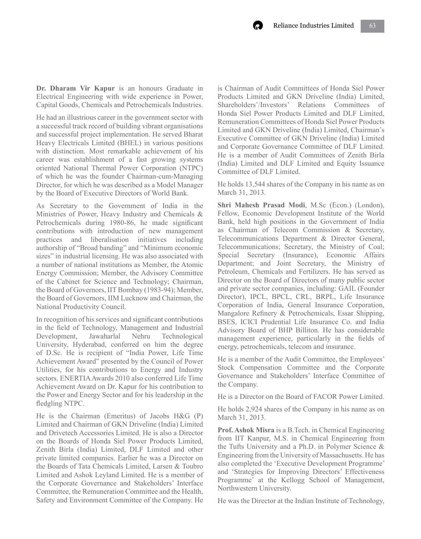**Dr. Dharam Vir Kapur** is an honours Graduate in Electrical Engineering with wide experience in Power, Capital Goods, Chemicals and Petrochemicals Industries.

He had an illustrious career in the government sector with a successful track record of building vibrant organisations and successful project implementation. He served Bharat Heavy Electricals Limited (BHEL) in various positions with distinction. Most remarkable achievement of his career was establishment of a fast growing systems oriented National Thermal Power Corporation (NTPC) of which he was the founder Chairman-cum-Managing Director, for which he was described as a Model Manager by the Board of Executive Directors of World Bank.

As Secretary to the Government of India in the Ministries of Power, Heavy Industry and Chemicals & Petrochemicals during 1980-86, he made significant contributions with introduction of new management practices and liberalisation initiatives including authorship of "Broad banding" and "Minimum economic sizes" in industrial licensing. He was also associated with a number of national institutions as Member, the Atomic Energy Commission; Member, the Advisory Committee of the Cabinet for Science and Technology; Chairman, the Board of Governors, IIT Bombay (1983-94); Member, the Board of Governors, IIM Lucknow and Chairman, the National Productivity Council.

In recognition of his services and significant contributions in the field of Technology, Management and Industrial Development, Jawaharlal Nehru Technological University, Hyderabad, conferred on him the degree of D.Sc. He is recipient of "India Power, Life Time Achievement Award" presented by the Council of Power Utilities, for his contributions to Energy and Industry sectors. ENERTIA Awards 2010 also conferred Life Time Achievement Award on Dr. Kapur for his contribution to the Power and Energy Sector and for his leadership in the fledgling NTPC.

He is the Chairman (Emeritus) of Jacobs H&G (P) Limited and Chairman of GKN Driveline (India) Limited and Drivetech Accessories Limited. He is also a Director on the Boards of Honda Siel Power Products Limited, Zenith Birla (India) Limited, DLF Limited and other private limited companies. Earlier he was a Director on the Boards of Tata Chemicals Limited, Larsen & Toubro Limited and Ashok Leyland Limited. He is a member of the Corporate Governance and Stakeholders' Interface Committee, the Remuneration Committee and the Health, Safety and Environment Committee of the Company. He is Chairman of Audit Committees of Honda Siel Power Products Limited and GKN Driveline (India) Limited, Shareholders'/Investors' Relations Committees of Honda Siel Power Products Limited and DLF Limited, Remuneration Committees of Honda Siel Power Products Limited and GKN Driveline (India) Limited, Chairman's Executive Committee of GKN Driveline (India) Limited and Corporate Governance Committee of DLF Limited. He is a member of Audit Committees of Zenith Birla (India) Limited and DLF Limited and Equity Issuance Committee of DLF Limited.

He holds 13,544 shares of the Company in his name as on March 31, 2013.

**Shri Mahesh Prasad Modi**, M.Sc (Econ.) (London), Fellow, Economic Development Institute of the World Bank, held high positions in the Government of India as Chairman of Telecom Commission & Secretary, Telecommunications Department & Director General, Telecommunications; Secretary, the Ministry of Coal; Special Secretary (Insurance), Economic Affairs Department; and Joint Secretary, the Ministry of Petroleum, Chemicals and Fertilizers. He has served as Director on the Board of Directors of many public sector and private sector companies, including: GAIL (Founder Director), IPCL, BPCL, CRL, BRPL, Life Insurance Corporation of India, General Insurance Corporation, Mangalore Refinery & Petrochemicals, Essar Shipping, BSES, ICICI Prudential Life Insurance Co. and India Advisory Board of BHP Billiton. He has considerable management experience, particularly in the fields of energy, petrochemicals, telecom and insurance.

He is a member of the Audit Committee, the Employees' Stock Compensation Committee and the Corporate Governance and Stakeholders' Interface Committee of the Company.

He is a Director on the Board of FACOR Power Limited.

He holds 2,924 shares of the Company in his name as on March 31, 2013.

**Prof. Ashok Misra** is a B.Tech. in Chemical Engineering from IIT Kanpur, M.S. in Chemical Engineering from the Tufts University and a Ph.D. in Polymer Science & Engineering from the University of Massachusetts. He has also completed the 'Executive Development Programme' and 'Strategies for Improving Directors' Effectiveness Programme' at the Kellogg School of Management, Northwestern University.

He was the Director at the Indian Institute of Technology,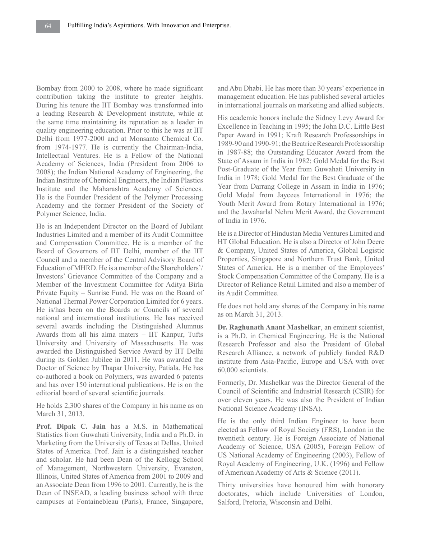Bombay from 2000 to 2008, where he made significant contribution taking the institute to greater heights. During his tenure the IIT Bombay was transformed into a leading Research & Development institute, while at the same time maintaining its reputation as a leader in quality engineering education. Prior to this he was at IIT Delhi from 1977-2000 and at Monsanto Chemical Co. from 1974-1977. He is currently the Chairman-India, Intellectual Ventures. He is a Fellow of the National Academy of Sciences, India (President from 2006 to 2008); the Indian National Academy of Engineering, the Indian Institute of Chemical Engineers, the Indian Plastics Institute and the Maharashtra Academy of Sciences. He is the Founder President of the Polymer Processing Academy and the former President of the Society of Polymer Science, India.

He is an Independent Director on the Board of Jubilant Industries Limited and a member of its Audit Committee and Compensation Committee. He is a member of the Board of Governors of IIT Delhi, member of the IIT Council and a member of the Central Advisory Board of Education of MHRD. He is a member of the Shareholders'/ Investors' Grievance Committee of the Company and a Member of the Investment Committee for Aditya Birla Private Equity – Sunrise Fund. He was on the Board of National Thermal Power Corporation Limited for 6 years. He is/has been on the Boards or Councils of several national and international institutions. He has received several awards including the Distinguished Alumnus Awards from all his alma maters – IIT Kanpur, Tufts University and University of Massachusetts. He was awarded the Distinguished Service Award by IIT Delhi during its Golden Jubilee in 2011. He was awarded the Doctor of Science by Thapar University, Patiala. He has co-authored a book on Polymers, was awarded 6 patents and has over 150 international publications. He is on the editorial board of several scientific journals.

He holds 2,300 shares of the Company in his name as on March 31, 2013.

**Prof. Dipak C. Jain** has a M.S. in Mathematical Statistics from Guwahati University, India and a Ph.D. in Marketing from the University of Texas at Dellas, United States of America. Prof. Jain is a distinguished teacher and scholar. He had been Dean of the Kellogg School of Management, Northwestern University, Evanston, Illinois, United States of America from 2001 to 2009 and an Associate Dean from 1996 to 2001. Currently, he is the Dean of INSEAD, a leading business school with three campuses at Fontainebleau (Paris), France, Singapore, and Abu Dhabi. He has more than 30 years' experience in management education. He has published several articles in international journals on marketing and allied subjects.

His academic honors include the Sidney Levy Award for Excellence in Teaching in 1995; the John D.C. Little Best Paper Award in 1991; Kraft Research Professorships in 1989-90 and 1990-91; the Beatrice Research Professorship in 1987-88; the Outstanding Educator Award from the State of Assam in India in 1982; Gold Medal for the Best Post-Graduate of the Year from Guwahati University in India in 1978; Gold Medal for the Best Graduate of the Year from Darrang College in Assam in India in 1976; Gold Medal from Jaycees International in 1976; the Youth Merit Award from Rotary International in 1976; and the Jawaharlal Nehru Merit Award, the Government of India in 1976.

He is a Director of Hindustan Media Ventures Limited and HT Global Education. He is also a Director of John Deere & Company, United States of America, Global Logistic Properties, Singapore and Northern Trust Bank, United States of America. He is a member of the Employees' Stock Compensation Committee of the Company. He is a Director of Reliance Retail Limited and also a member of its Audit Committee.

He does not hold any shares of the Company in his name as on March 31, 2013.

**Dr. Raghunath Anant Mashelkar**, an eminent scientist, is a Ph.D. in Chemical Engineering. He is the National Research Professor and also the President of Global Research Alliance, a network of publicly funded R&D institute from Asia-Pacific, Europe and USA with over 60,000 scientists.

Formerly, Dr. Mashelkar was the Director General of the Council of Scientific and Industrial Research (CSIR) for over eleven years. He was also the President of Indian National Science Academy (INSA).

He is the only third Indian Engineer to have been elected as Fellow of Royal Society (FRS), London in the twentieth century. He is Foreign Associate of National Academy of Science, USA (2005), Foreign Fellow of US National Academy of Engineering (2003), Fellow of Royal Academy of Engineering, U.K. (1996) and Fellow of American Academy of Arts & Science (2011).

Thirty universities have honoured him with honorary doctorates, which include Universities of London, Salford, Pretoria, Wisconsin and Delhi.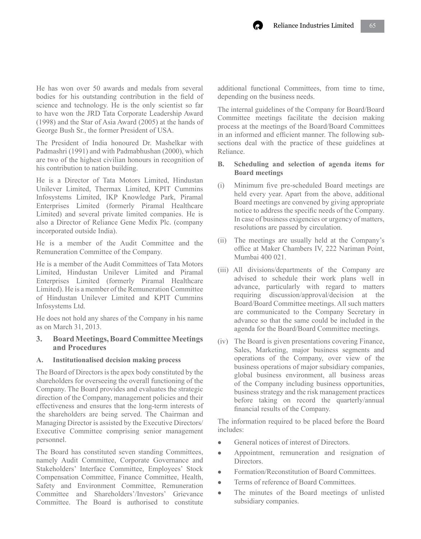He has won over 50 awards and medals from several bodies for his outstanding contribution in the field of science and technology. He is the only scientist so far to have won the JRD Tata Corporate Leadership Award (1998) and the Star of Asia Award (2005) at the hands of George Bush Sr., the former President of USA.

The President of India honoured Dr. Mashelkar with Padmashri (1991) and with Padmabhushan (2000), which are two of the highest civilian honours in recognition of his contribution to nation building.

He is a Director of Tata Motors Limited, Hindustan Unilever Limited, Thermax Limited, KPIT Cummins Infosystems Limited, IKP Knowledge Park, Piramal Enterprises Limited (formerly Piramal Healthcare Limited) and several private limited companies. He is also a Director of Reliance Gene Medix Plc. (company incorporated outside India).

He is a member of the Audit Committee and the Remuneration Committee of the Company.

He is a member of the Audit Committees of Tata Motors Limited, Hindustan Unilever Limited and Piramal Enterprises Limited (formerly Piramal Healthcare Limited). He is a member of the Remuneration Committee of Hindustan Unilever Limited and KPIT Cummins Infosystems Ltd.

He does not hold any shares of the Company in his name as on March 31, 2013.

## **3. Board Meetings, Board Committee Meetings and Procedures**

### **A. Institutionalised decision making process**

The Board of Directors is the apex body constituted by the shareholders for overseeing the overall functioning of the Company. The Board provides and evaluates the strategic direction of the Company, management policies and their effectiveness and ensures that the long-term interests of the shareholders are being served. The Chairman and Managing Director is assisted by the Executive Directors/ Executive Committee comprising senior management personnel.

The Board has constituted seven standing Committees, namely Audit Committee, Corporate Governance and Stakeholders' Interface Committee, Employees' Stock Compensation Committee, Finance Committee, Health, Safety and Environment Committee, Remuneration Committee and Shareholders'/Investors' Grievance Committee. The Board is authorised to constitute additional functional Committees, from time to time, depending on the business needs.

The internal guidelines of the Company for Board/Board Committee meetings facilitate the decision making process at the meetings of the Board/Board Committees in an informed and efficient manner. The following subsections deal with the practice of these guidelines at Reliance.

## **B. Scheduling and selection of agenda items for Board meetings**

- (i) Minimum five pre-scheduled Board meetings are held every year. Apart from the above, additional Board meetings are convened by giving appropriate notice to address the specific needs of the Company. In case of business exigencies or urgency of matters, resolutions are passed by circulation.
- (ii) The meetings are usually held at the Company's office at Maker Chambers IV, 222 Nariman Point, Mumbai 400 021.
- (iii) All divisions/departments of the Company are advised to schedule their work plans well in advance, particularly with regard to matters requiring discussion/approval/decision at the Board/Board Committee meetings. All such matters are communicated to the Company Secretary in advance so that the same could be included in the agenda for the Board/Board Committee meetings.
- (iv) The Board is given presentations covering Finance, Sales, Marketing, major business segments and operations of the Company, over view of the business operations of major subsidiary companies, global business environment, all business areas of the Company including business opportunities, business strategy and the risk management practices before taking on record the quarterly/annual financial results of the Company.

The information required to be placed before the Board includes:

- General notices of interest of Directors.
- Appointment, remuneration and resignation of Directors.
- Formation/Reconstitution of Board Committees.
- Terms of reference of Board Committees.
- The minutes of the Board meetings of unlisted subsidiary companies.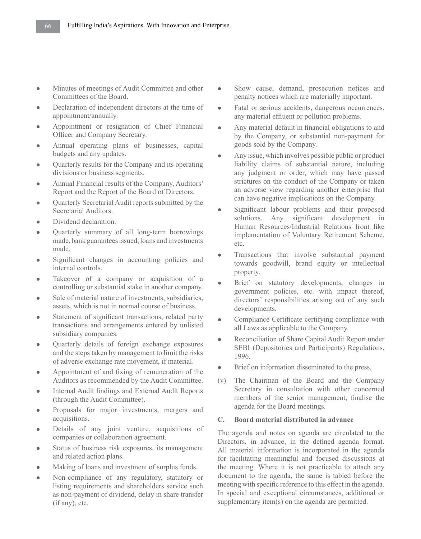- <sup>l</sup> Minutes of meetings of Audit Committee and other Committees of the Board.
- Declaration of independent directors at the time of appointment/annually.
- <sup>l</sup> Appointment or resignation of Chief Financial Officer and Company Secretary.
- <sup>l</sup> Annual operating plans of businesses, capital budgets and any updates.
- <sup>l</sup> Quarterly results for the Company and its operating divisions or business segments.
- Annual Financial results of the Company, Auditors' Report and the Report of the Board of Directors.
- Quarterly Secretarial Audit reports submitted by the Secretarial Auditors.
- Dividend declaration
- Quarterly summary of all long-term borrowings made, bank guarantees issued, loans and investments made.
- Significant changes in accounting policies and internal controls.
- Takeover of a company or acquisition of a controlling or substantial stake in another company.
- Sale of material nature of investments, subsidiaries, assets, which is not in normal course of business.
- Statement of significant transactions, related party transactions and arrangements entered by unlisted subsidiary companies.
- Quarterly details of foreign exchange exposures and the steps taken by management to limit the risks of adverse exchange rate movement, if material.
- <sup>l</sup> Appointment of and fixing of remuneration of the Auditors as recommended by the Audit Committee.
- Internal Audit findings and External Audit Reports (through the Audit Committee).
- <sup>l</sup> Proposals for major investments, mergers and acquisitions.
- Details of any joint venture, acquisitions of companies or collaboration agreement.
- Status of business risk exposures, its management and related action plans.
- Making of loans and investment of surplus funds.
- <sup>l</sup> Non-compliance of any regulatory, statutory or listing requirements and shareholders service such as non-payment of dividend, delay in share transfer (if any), etc.
- <sup>l</sup> Show cause, demand, prosecution notices and penalty notices which are materially important.
- Fatal or serious accidents, dangerous occurrences, any material effluent or pollution problems.
- Any material default in financial obligations to and by the Company, or substantial non-payment for goods sold by the Company.
- $\bullet$  Any issue, which involves possible public or product liability claims of substantial nature, including any judgment or order, which may have passed strictures on the conduct of the Company or taken an adverse view regarding another enterprise that can have negative implications on the Company.
- Significant labour problems and their proposed solutions. Any significant development in Human Resources/Industrial Relations front like implementation of Voluntary Retirement Scheme, etc.
- <sup>l</sup> Transactions that involve substantial payment towards goodwill, brand equity or intellectual property.
- <sup>l</sup> Brief on statutory developments, changes in government policies, etc. with impact thereof, directors' responsibilities arising out of any such developments.
- Compliance Certificate certifying compliance with all Laws as applicable to the Company.
- Reconciliation of Share Capital Audit Report under SEBI (Depositories and Participants) Regulations, 1996.
- Brief on information disseminated to the press.
- (v) The Chairman of the Board and the Company Secretary in consultation with other concerned members of the senior management, finalise the agenda for the Board meetings.

## **C. Board material distributed in advance**

The agenda and notes on agenda are circulated to the Directors, in advance, in the defined agenda format. All material information is incorporated in the agenda for facilitating meaningful and focused discussions at the meeting. Where it is not practicable to attach any document to the agenda, the same is tabled before the meeting with specific reference to this effect in the agenda. In special and exceptional circumstances, additional or supplementary item(s) on the agenda are permitted.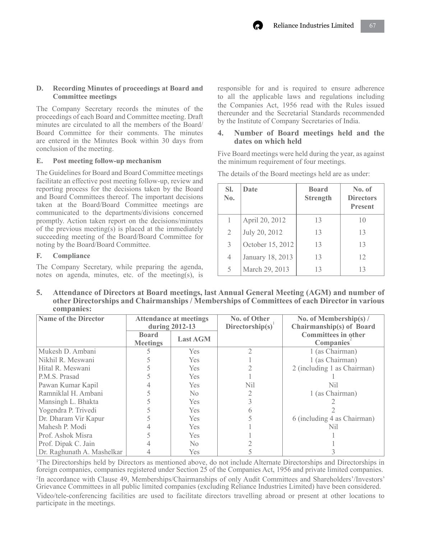### **D. Recording Minutes of proceedings at Board and Committee meetings**

The Company Secretary records the minutes of the proceedings of each Board and Committee meeting. Draft minutes are circulated to all the members of the Board/ Board Committee for their comments. The minutes are entered in the Minutes Book within 30 days from conclusion of the meeting.

### **E. Post meeting follow-up mechanism**

The Guidelines for Board and Board Committee meetings facilitate an effective post meeting follow-up, review and reporting process for the decisions taken by the Board and Board Committees thereof. The important decisions taken at the Board/Board Committee meetings are communicated to the departments/divisions concerned promptly. Action taken report on the decisions/minutes of the previous meeting(s) is placed at the immediately succeeding meeting of the Board/Board Committee for noting by the Board/Board Committee.

### **F. Compliance**

The Company Secretary, while preparing the agenda, notes on agenda, minutes, etc. of the meeting(s), is

responsible for and is required to ensure adherence to all the applicable laws and regulations including the Companies Act, 1956 read with the Rules issued thereunder and the Secretarial Standards recommended by the Institute of Company Secretaries of India.

### **4. Number of Board meetings held and the dates on which held**

Five Board meetings were held during the year, as against the minimum requirement of four meetings.

| SI.<br>N <sub>0</sub> | Date             | <b>Board</b><br><b>Strength</b> | No. of<br><b>Directors</b><br><b>Present</b> |
|-----------------------|------------------|---------------------------------|----------------------------------------------|
| 1                     | April 20, 2012   | 13                              | 10                                           |
| 2                     | July 20, 2012    | 13                              | 13                                           |
| 3                     | October 15, 2012 | 13                              | 13                                           |
| $\overline{4}$        | January 18, 2013 | 13                              | 12                                           |
| 5                     | March 29, 2013   | 13                              | 13                                           |

The details of the Board meetings held are as under:

**5. Attendance of Directors at Board meetings, last Annual General Meeting (AGM) and number of other Directorships and Chairmanships / Memberships of Committees of each Director in various companies:**

| <b>Name of the Director</b> | <b>Attendance at meetings</b><br>during 2012-13 |                 | No. of Other<br>Directoryhip(s) | No. of Membership(s) $/$<br>Chairmanship(s) of Board |
|-----------------------------|-------------------------------------------------|-----------------|---------------------------------|------------------------------------------------------|
|                             | <b>Board</b><br><b>Meetings</b>                 | <b>Last AGM</b> |                                 | <b>Committees in other</b><br><b>Companies</b>       |
| Mukesh D. Ambani            |                                                 | Yes             | C                               | 1 (as Chairman)                                      |
| Nikhil R. Meswani           |                                                 | Yes             |                                 | 1 (as Chairman)                                      |
| Hital R. Meswani            |                                                 | <b>Yes</b>      |                                 | 2 (including 1 as Chairman)                          |
| P.M.S. Prasad               |                                                 | <b>Yes</b>      |                                 |                                                      |
| Pawan Kumar Kapil           |                                                 | Yes             | Nil                             | Nil                                                  |
| Ramniklal H. Ambani         |                                                 | N0              |                                 | 1 (as Chairman)                                      |
| Mansingh L. Bhakta          |                                                 | <b>Yes</b>      |                                 |                                                      |
| Yogendra P. Trivedi         |                                                 | <b>Yes</b>      |                                 |                                                      |
| Dr. Dharam Vir Kapur        |                                                 | Yes             |                                 | 6 (including 4 as Chairman)                          |
| Mahesh P. Modi              |                                                 | Yes             |                                 | Nil                                                  |
| Prof. Ashok Misra           |                                                 | Yes             |                                 |                                                      |
| Prof. Dipak C. Jain         |                                                 | N <sub>0</sub>  |                                 |                                                      |
| Dr. Raghunath A. Mashelkar  |                                                 | Yes             |                                 |                                                      |

1 The Directorships held by Directors as mentioned above, do not include Alternate Directorships and Directorships in foreign companies, companies registered under Section 25 of the Companies Act, 1956 and private limited companies. 2 In accordance with Clause 49, Memberships/Chairmanships of only Audit Committees and Shareholders'/Investors' Grievance Committees in all public limited companies (excluding Reliance Industries Limited) have been considered. Video/tele-conferencing facilities are used to facilitate directors travelling abroad or present at other locations to participate in the meetings.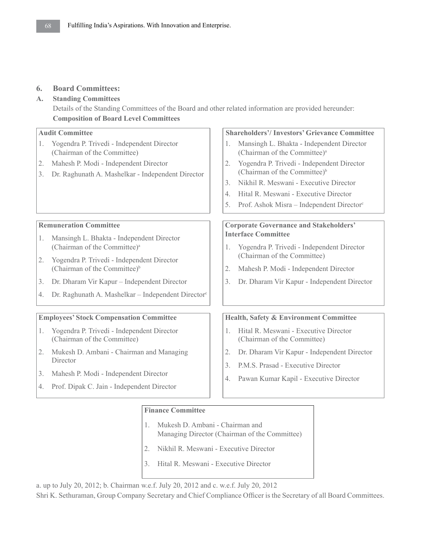# **6. Board Committees:**

# **A. Standing Committees**

Details of the Standing Committees of the Board and other related information are provided hereunder: **Composition of Board Level Committees**

|          | <b>Audit Committee</b>                                                                     |                                                           | <b>Shareholders'/Investors' Grievance Committee</b>                                                                                                                                                                                |
|----------|--------------------------------------------------------------------------------------------|-----------------------------------------------------------|------------------------------------------------------------------------------------------------------------------------------------------------------------------------------------------------------------------------------------|
| 1.       | Yogendra P. Trivedi - Independent Director<br>(Chairman of the Committee)                  | 1.                                                        | Mansingh L. Bhakta - Independent Director<br>(Chairman of the Committee) <sup>a</sup>                                                                                                                                              |
| 2.<br>3. | Mahesh P. Modi - Independent Director<br>Dr. Raghunath A. Mashelkar - Independent Director | $\overline{2}$ .<br>$\mathcal{E}$<br>$\overline{4}$<br>5. | Yogendra P. Trivedi - Independent Director<br>(Chairman of the Committee) <sup>b</sup><br>Nikhil R. Meswani - Executive Director<br>Hital R. Meswani - Executive Director<br>Prof. Ashok Misra – Independent Director <sup>c</sup> |
|          | <b>Remuneration Committee</b>                                                              |                                                           | <b>Corporate Governance and Stakeholders'</b>                                                                                                                                                                                      |
| 1.       | Mansingh L. Bhakta - Independent Director                                                  |                                                           | <b>Interface Committee</b>                                                                                                                                                                                                         |
|          | (Chairman of the Committee) <sup>a</sup>                                                   |                                                           | Yogendra P. Trivedi - Independent Director                                                                                                                                                                                         |
| 2.       | Yogendra P. Trivedi - Independent Director                                                 |                                                           | (Chairman of the Committee)                                                                                                                                                                                                        |
|          | (Chairman of the Committee) <sup>b</sup>                                                   | 2.                                                        | Mahesh P. Modi - Independent Director                                                                                                                                                                                              |
| 3.       | Dr. Dharam Vir Kapur - Independent Director                                                | 3.                                                        | Dr. Dharam Vir Kapur - Independent Director                                                                                                                                                                                        |
| 4.       | Dr. Raghunath A. Mashelkar - Independent Director <sup>c</sup>                             |                                                           |                                                                                                                                                                                                                                    |
|          | <b>Employees' Stock Compensation Committee</b>                                             |                                                           | <b>Health, Safety &amp; Environment Committee</b>                                                                                                                                                                                  |
| 1.       | Yogendra P. Trivedi - Independent Director<br>(Chairman of the Committee)                  | $\mathbf{1}$                                              | Hital R. Meswani - Executive Director<br>(Chairman of the Committee)                                                                                                                                                               |
| 2.       | Mukesh D. Ambani - Chairman and Managing                                                   | 2.                                                        | Dr. Dharam Vir Kapur - Independent Director                                                                                                                                                                                        |
|          | Director                                                                                   | 3.                                                        | P.M.S. Prasad - Executive Director                                                                                                                                                                                                 |
| 3.       | Mahesh P. Modi - Independent Director                                                      | 4.                                                        | Pawan Kumar Kapil - Executive Director                                                                                                                                                                                             |
| 4.       | Prof. Dipak C. Jain - Independent Director                                                 |                                                           |                                                                                                                                                                                                                                    |

# **Finance Committee**

- 1. Mukesh D. Ambani Chairman and Managing Director (Chairman of the Committee)
- 2. Nikhil R. Meswani Executive Director
- 3. Hital R. Meswani Executive Director

a. up to July 20, 2012; b. Chairman w.e.f. July 20, 2012 and c. w.e.f. July 20, 2012

Shri K. Sethuraman, Group Company Secretary and Chief Compliance Officer is the Secretary of all Board Committees.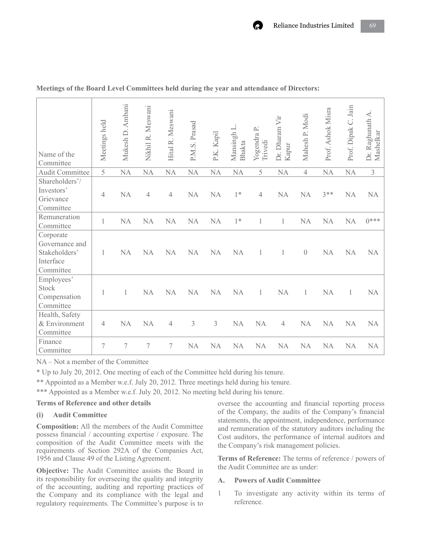| Name of the<br>Committee                                               | Meetings held  | Mukesh D. Ambani | Nikhil R. Meswani | Hital R. Meswani | P.M.S. Prasad | P.K. Kapil     | Mansingh L.<br><b>Bhakta</b> | Yogendra P.<br>Trivedi | Dr. Dharam Vir<br>Kapur | Mahesh P. Modi | Prof. Ashok Misra | Prof. Dipak C. Jain | Dr. Raghunath A<br>Mashelkar |
|------------------------------------------------------------------------|----------------|------------------|-------------------|------------------|---------------|----------------|------------------------------|------------------------|-------------------------|----------------|-------------------|---------------------|------------------------------|
| <b>Audit Committee</b>                                                 | 5              | <b>NA</b>        | NA                | <b>NA</b>        | NA            | NA             | <b>NA</b>                    | 5                      | NA                      | $\overline{4}$ | <b>NA</b>         | NA                  | $\overline{3}$               |
| Shareholders'/<br>Investors'<br>Grievance<br>Committee                 | 4              | <b>NA</b>        | 4                 | 4                | <b>NA</b>     | <b>NA</b>      | $1*$                         | 4                      | <b>NA</b>               | <b>NA</b>      | $3**$             | <b>NA</b>           | <b>NA</b>                    |
| Remuneration<br>Committee                                              | $\,1$          | NA               | NA                | <b>NA</b>        | NA            | <b>NA</b>      | $1*$                         | $\mathbf{1}$           | 1                       | <b>NA</b>      | <b>NA</b>         | NA                  | $()$ ***                     |
| Corporate<br>Governance and<br>Stakeholders'<br>Interface<br>Committee | 1              | <b>NA</b>        | <b>NA</b>         | <b>NA</b>        | <b>NA</b>     | <b>NA</b>      | <b>NA</b>                    | 1                      | 1                       | $\theta$       | <b>NA</b>         | <b>NA</b>           | <b>NA</b>                    |
| Employees'<br>Stock<br>Compensation<br>Committee                       | 1              | 1                | <b>NA</b>         | <b>NA</b>        | <b>NA</b>     | <b>NA</b>      | <b>NA</b>                    | 1                      | <b>NA</b>               | 1              | <b>NA</b>         | 1                   | NA.                          |
| Health, Safety<br>& Environment<br>Committee                           | $\overline{4}$ | <b>NA</b>        | <b>NA</b>         | 4                | 3             | $\mathfrak{Z}$ | <b>NA</b>                    | <b>NA</b>              | 4                       | <b>NA</b>      | <b>NA</b>         | <b>NA</b>           | <b>NA</b>                    |
| Finance<br>Committee                                                   | 7              | 7                | 7                 | 7                | <b>NA</b>     | NA             | <b>NA</b>                    | <b>NA</b>              | <b>NA</b>               | <b>NA</b>      | NA                | <b>NA</b>           | NA                           |

**Meetings of the Board Level Committees held during the year and attendance of Directors:**

NA – Not a member of the Committee

\* Up to July 20, 2012. One meeting of each of the Committee held during his tenure.

\*\* Appointed as a Member w.e.f. July 20, 2012. Three meetings held during his tenure.

\*\*\* Appointed as a Member w.e.f. July 20, 2012. No meeting held during his tenure.

# **Terms of Reference and other details**

### **(i) Audit Committee**

**Composition:** All the members of the Audit Committee possess financial / accounting expertise / exposure. The composition of the Audit Committee meets with the requirements of Section 292A of the Companies Act, 1956 and Clause 49 of the Listing Agreement.

**Objective:** The Audit Committee assists the Board in its responsibility for overseeing the quality and integrity of the accounting, auditing and reporting practices of the Company and its compliance with the legal and regulatory requirements. The Committee's purpose is to oversee the accounting and financial reporting process of the Company, the audits of the Company's financial statements, the appointment, independence, performance and remuneration of the statutory auditors including the Cost auditors, the performance of internal auditors and the Company's risk management policies.

**Terms of Reference:** The terms of reference / powers of the Audit Committee are as under:

# **A. Powers of Audit Committee**

1 To investigate any activity within its terms of reference.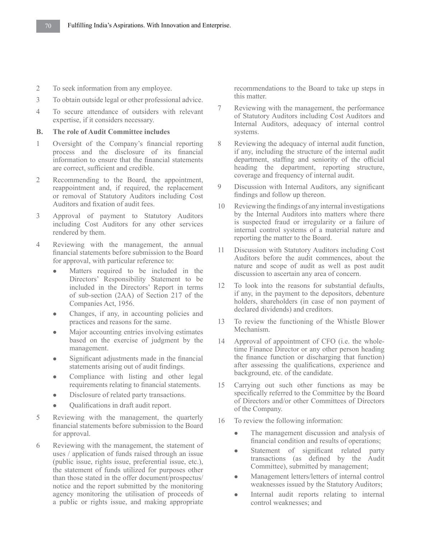- 2 To seek information from any employee.
- 3 To obtain outside legal or other professional advice.
- 4 To secure attendance of outsiders with relevant expertise, if it considers necessary.
- **B. The role of Audit Committee includes**
- 1 Oversight of the Company's financial reporting process and the disclosure of its financial information to ensure that the financial statements are correct, sufficient and credible.
- 2 Recommending to the Board, the appointment, reappointment and, if required, the replacement or removal of Statutory Auditors including Cost Auditors and fixation of audit fees.
- 3 Approval of payment to Statutory Auditors including Cost Auditors for any other services rendered by them.
- 4 Reviewing with the management, the annual financial statements before submission to the Board for approval, with particular reference to:
	- Matters required to be included in the Directors' Responsibility Statement to be included in the Directors' Report in terms of sub-section (2AA) of Section 217 of the Companies Act, 1956.
	- Changes, if any, in accounting policies and practices and reasons for the same.
	- <sup>l</sup> Major accounting entries involving estimates based on the exercise of judgment by the management.
	- Significant adjustments made in the financial statements arising out of audit findings.
	- Compliance with listing and other legal requirements relating to financial statements.
	- Disclosure of related party transactions.
	- Qualifications in draft audit report.
- 5 Reviewing with the management, the quarterly financial statements before submission to the Board for approval.
- 6 Reviewing with the management, the statement of uses / application of funds raised through an issue (public issue, rights issue, preferential issue, etc.), the statement of funds utilized for purposes other than those stated in the offer document/prospectus/ notice and the report submitted by the monitoring agency monitoring the utilisation of proceeds of a public or rights issue, and making appropriate

recommendations to the Board to take up steps in this matter.

- 7 Reviewing with the management, the performance of Statutory Auditors including Cost Auditors and Internal Auditors, adequacy of internal control systems.
- 8 Reviewing the adequacy of internal audit function, if any, including the structure of the internal audit department, staffing and seniority of the official heading the department, reporting structure, coverage and frequency of internal audit.
- 9 Discussion with Internal Auditors, any significant findings and follow up thereon.
- 10 Reviewing the findings of any internal investigations by the Internal Auditors into matters where there is suspected fraud or irregularity or a failure of internal control systems of a material nature and reporting the matter to the Board.
- 11 Discussion with Statutory Auditors including Cost Auditors before the audit commences, about the nature and scope of audit as well as post audit discussion to ascertain any area of concern.
- 12 To look into the reasons for substantial defaults, if any, in the payment to the depositors, debenture holders, shareholders (in case of non payment of declared dividends) and creditors.
- 13 To review the functioning of the Whistle Blower Mechanism.
- 14 Approval of appointment of CFO (i.e. the wholetime Finance Director or any other person heading the finance function or discharging that function) after assessing the qualifications, experience and background, etc. of the candidate.
- 15 Carrying out such other functions as may be specifically referred to the Committee by the Board of Directors and/or other Committees of Directors of the Company.
- 16 To review the following information:
	- The management discussion and analysis of financial condition and results of operations;
	- Statement of significant related party transactions (as defined by the Audit Committee), submitted by management;
	- Management letters/letters of internal control weaknesses issued by the Statutory Auditors;
	- Internal audit reports relating to internal control weaknesses; and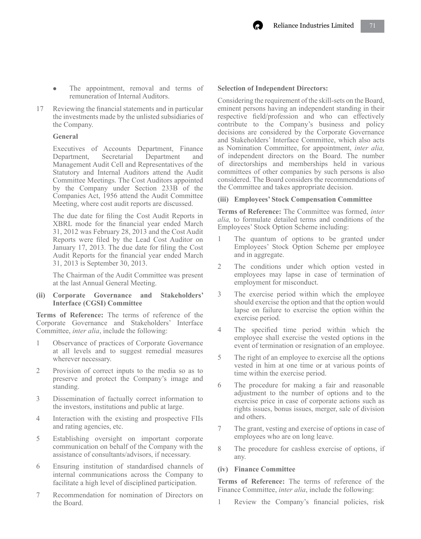- The appointment, removal and terms of remuneration of Internal Auditors.
- 17 Reviewing the financial statements and in particular the investments made by the unlisted subsidiaries of the Company.

# **General**

Executives of Accounts Department, Finance<br>Department, Secretarial Department and Department Management Audit Cell and Representatives of the Statutory and Internal Auditors attend the Audit Committee Meetings. The Cost Auditors appointed by the Company under Section 233B of the Companies Act, 1956 attend the Audit Committee Meeting, where cost audit reports are discussed.

The due date for filing the Cost Audit Reports in XBRL mode for the financial year ended March 31, 2012 was February 28, 2013 and the Cost Audit Reports were filed by the Lead Cost Auditor on January 17, 2013. The due date for filing the Cost Audit Reports for the financial year ended March 31, 2013 is September 30, 2013.

The Chairman of the Audit Committee was present at the last Annual General Meeting.

## **(ii) Corporate Governance and Stakeholders' Interface (CGSI) Committee**

**Terms of Reference:** The terms of reference of the Corporate Governance and Stakeholders' Interface Committee, *inter alia*, include the following:

- 1 Observance of practices of Corporate Governance at all levels and to suggest remedial measures wherever necessary.
- 2 Provision of correct inputs to the media so as to preserve and protect the Company's image and standing.
- 3 Dissemination of factually correct information to the investors, institutions and public at large.
- 4 Interaction with the existing and prospective FIIs and rating agencies, etc.
- 5 Establishing oversight on important corporate communication on behalf of the Company with the assistance of consultants/advisors, if necessary.
- 6 Ensuring institution of standardised channels of internal communications across the Company to facilitate a high level of disciplined participation.
- 7 Recommendation for nomination of Directors on the Board.

# **Selection of Independent Directors:**

Considering the requirement of the skill-sets on the Board, eminent persons having an independent standing in their respective field/profession and who can effectively contribute to the Company's business and policy decisions are considered by the Corporate Governance and Stakeholders' Interface Committee, which also acts as Nomination Committee, for appointment, *inter alia,*  of independent directors on the Board. The number of directorships and memberships held in various committees of other companies by such persons is also considered. The Board considers the recommendations of the Committee and takes appropriate decision.

# **(iii) Employees' Stock Compensation Committee**

**Terms of Reference:** The Committee was formed, *inter alia,* to formulate detailed terms and conditions of the Employees' Stock Option Scheme including:

- The quantum of options to be granted under Employees' Stock Option Scheme per employee and in aggregate.
- 2 The conditions under which option vested in employees may lapse in case of termination of employment for misconduct.
- 3 The exercise period within which the employee should exercise the option and that the option would lapse on failure to exercise the option within the exercise period.
- 4 The specified time period within which the employee shall exercise the vested options in the event of termination or resignation of an employee.
- 5 The right of an employee to exercise all the options vested in him at one time or at various points of time within the exercise period.
- 6 The procedure for making a fair and reasonable adjustment to the number of options and to the exercise price in case of corporate actions such as rights issues, bonus issues, merger, sale of division and others.
- 7 The grant, vesting and exercise of options in case of employees who are on long leave.
- 8 The procedure for cashless exercise of options, if any.

# **(iv) Finance Committee**

**Terms of Reference:** The terms of reference of the Finance Committee, *inter alia*, include the following:

Review the Company's financial policies, risk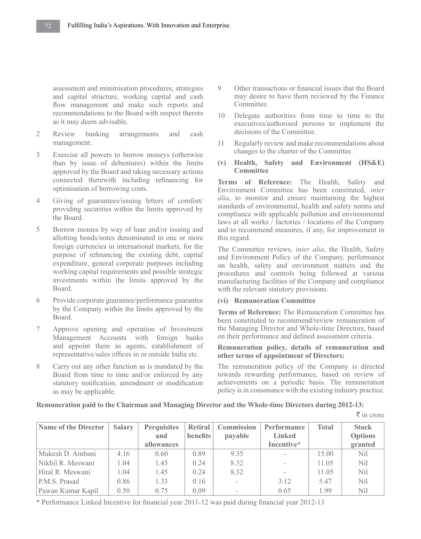assessment and minimisation procedures, strategies and capital structure, working capital and cash flow management and make such reports and recommendations to the Board with respect thereto as it may deem advisable.

- 2 Review banking arrangements and cash management.
- 3 Exercise all powers to borrow moneys (otherwise than by issue of debentures) within the limits approved by the Board and taking necessary actions connected therewith including refinancing for optimisation of borrowing costs.
- 4 Giving of guarantees/issuing letters of comfort/ providing securities within the limits approved by the Board.
- 5 Borrow monies by way of loan and/or issuing and allotting bonds/notes denominated in one or more foreign currencies in international markets, for the purpose of refinancing the existing debt, capital expenditure, general corporate purposes including working capital requirements and possible strategic investments within the limits approved by the Board.
- 6 Provide corporate guarantee/performance guarantee by the Company within the limits approved by the Board.
- 7 Approve opening and operation of Investment Management Accounts with foreign banks and appoint them as agents, establishment of representative/sales offices in or outside India etc.
- 8 Carry out any other function as is mandated by the Board from time to time and/or enforced by any statutory notification, amendment or modification as may be applicable.
- 9 Other transactions or financial issues that the Board may desire to have them reviewed by the Finance Committee.
- 10 Delegate authorities from time to time to the executives/authorised persons to implement the decisions of the Committee.
- 11 Regularly review and make recommendations about changes to the charter of the Committee.
- **(v) Health, Safety and Environment (HS&E) Committee**

**Terms of Reference:** The Health, Safety and Environment Committee has been constituted, *inter alia*, to monitor and ensure maintaining the highest standards of environmental, health and safety norms and compliance with applicable pollution and environmental laws at all works / factories / locations of the Company and to recommend measures, if any, for improvement in this regard.

The Committee reviews, *inter alia*, the Health, Safety and Environment Policy of the Company, performance on health, safety and environment matters and the procedures and controls being followed at various manufacturing facilities of the Company and compliance with the relevant statutory provisions.

### **(vi) Remuneration Committee**

**Terms of Reference:** The Remuneration Committee has been constituted to recommend/review remuneration of the Managing Director and Whole-time Directors, based on their performance and defined assessment criteria.

### **Remuneration policy, details of remuneration and other terms of appointment of Directors:**

The remuneration policy of the Company is directed towards rewarding performance, based on review of achievements on a periodic basis. The remuneration policy is in consonance with the existing industry practice.

**Remuneration paid to the Chairman and Managing Director and the Whole-time Directors during 2012-13:**

 $\bar{\bar{\xi}}$  in crore

| <b>Name of the Director</b> | <b>Salary</b> | <b>Perquisites</b> | Retiral         | <b>Commission</b> | Performance              | <b>Total</b> | <b>Stock</b>   |
|-----------------------------|---------------|--------------------|-----------------|-------------------|--------------------------|--------------|----------------|
|                             |               | and                | <b>benefits</b> | payable           | <b>Linked</b>            |              | <b>Options</b> |
|                             |               | allowances         |                 |                   | Incentive*               |              | granted        |
| Mukesh D. Ambani            | 4.16          | 0.60               | 0.89            | 9.35              | $\sim$                   | 15.00        | <b>Nil</b>     |
| Nikhil R. Meswani           | 1.04          | 1.45               | 0.24            | 8.32              | $\overline{\phantom{a}}$ | 11.05        | <b>Nil</b>     |
| Hital R. Meswani            | 1.04          | 1.45               | 0.24            | 8.32              |                          | 11.05        | <b>Nil</b>     |
| P.M.S. Prasad               | 0.86          | 1.33               | 0.16            |                   | 3.12                     | 5.47         | <b>Nil</b>     |
| Pawan Kumar Kapil           | 0.50          | 0.75               | 0.09            |                   | 0.65                     | 1.99         | Nil            |

\* Performance Linked Incentive for financial year 2011-12 was paid during financial year 2012-13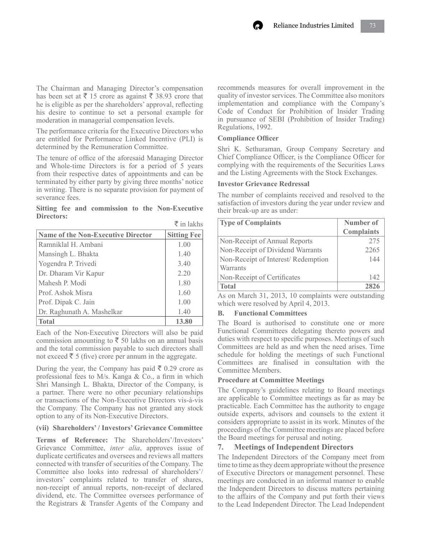The Chairman and Managing Director's compensation has been set at  $\bar{\tau}$  15 crore as against  $\bar{\tau}$  38.93 crore that he is eligible as per the shareholders' approval, reflecting his desire to continue to set a personal example for moderation in managerial compensation levels.

The performance criteria for the Executive Directors who are entitled for Performance Linked Incentive (PLI) is determined by the Remuneration Committee.

The tenure of office of the aforesaid Managing Director and Whole-time Directors is for a period of 5 years from their respective dates of appointments and can be terminated by either party by giving three months' notice in writing. There is no separate provision for payment of severance fees.

**Sitting fee and commission to the Non-Executive Directors:**  $\equiv$  in an in late

|                                           | k in lakhs         |
|-------------------------------------------|--------------------|
| <b>Name of the Non-Executive Director</b> | <b>Sitting Fee</b> |
| Ramniklal H. Ambani                       | 1.00               |
| Mansingh L. Bhakta                        | 1.40               |
| Yogendra P. Trivedi                       | 3.40               |
| Dr. Dharam Vir Kapur                      | 2.20               |
| Mahesh P. Modi                            | 1.80               |
| Prof. Ashok Misra                         | 1.60               |
| Prof. Dipak C. Jain                       | 1.00               |
| Dr. Raghunath A. Mashelkar                | 1.40               |
| <b>Total</b>                              | 13.80              |

Each of the Non-Executive Directors will also be paid commission amounting to  $\bar{\xi}$  50 lakhs on an annual basis and the total commission payable to such directors shall not exceed  $\bar{\tau}$  5 (five) crore per annum in the aggregate.

During the year, the Company has paid  $\bar{\tau}$  0.29 crore as professional fees to M/s. Kanga & Co., a firm in which Shri Mansingh L. Bhakta, Director of the Company, is a partner. There were no other pecuniary relationships or transactions of the Non-Executive Directors vis-à-vis the Company. The Company has not granted any stock option to any of its Non-Executive Directors.

# **(vii) Shareholders' / Investors' Grievance Committee**

**Terms of Reference:** The Shareholders'/Investors' Grievance Committee, *inter alia*, approves issue of duplicate certificates and oversees and reviews all matters connected with transfer of securities of the Company. The Committee also looks into redressal of shareholders'/ investors' complaints related to transfer of shares, non-receipt of annual reports, non-receipt of declared dividend, etc. The Committee oversees performance of the Registrars & Transfer Agents of the Company and recommends measures for overall improvement in the quality of investor services. The Committee also monitors implementation and compliance with the Company's Code of Conduct for Prohibition of Insider Trading in pursuance of SEBI (Prohibition of Insider Trading) Regulations, 1992.

# **Compliance Officer**

Shri K. Sethuraman, Group Company Secretary and Chief Compliance Officer, is the Compliance Officer for complying with the requirements of the Securities Laws and the Listing Agreements with the Stock Exchanges.

# **Investor Grievance Redressal**

The number of complaints received and resolved to the satisfaction of investors during the year under review and their break-up are as under:

| <b>Type of Complaints</b>          | Number of         |
|------------------------------------|-------------------|
|                                    | <b>Complaints</b> |
| Non-Receipt of Annual Reports      | 275               |
| Non-Receipt of Dividend Warrants   | 2265              |
| Non-Receipt of Interest/Redemption | 144               |
| Warrants                           |                   |
| Non-Receipt of Certificates        | 142               |
| <b>Total</b>                       |                   |

As on March 31, 2013, 10 complaints were outstanding which were resolved by April 4, 2013.

# **B. Functional Committees**

The Board is authorised to constitute one or more Functional Committees delegating thereto powers and duties with respect to specific purposes. Meetings of such Committees are held as and when the need arises. Time schedule for holding the meetings of such Functional Committees are finalised in consultation with the Committee Members.

# **Procedure at Committee Meetings**

The Company's guidelines relating to Board meetings are applicable to Committee meetings as far as may be practicable. Each Committee has the authority to engage outside experts, advisors and counsels to the extent it considers appropriate to assist in its work. Minutes of the proceedings of the Committee meetings are placed before the Board meetings for perusal and noting.

# **7. Meetings of Independent Directors**

The Independent Directors of the Company meet from time to time as they deem appropriate without the presence of Executive Directors or management personnel. These meetings are conducted in an informal manner to enable the Independent Directors to discuss matters pertaining to the affairs of the Company and put forth their views to the Lead Independent Director. The Lead Independent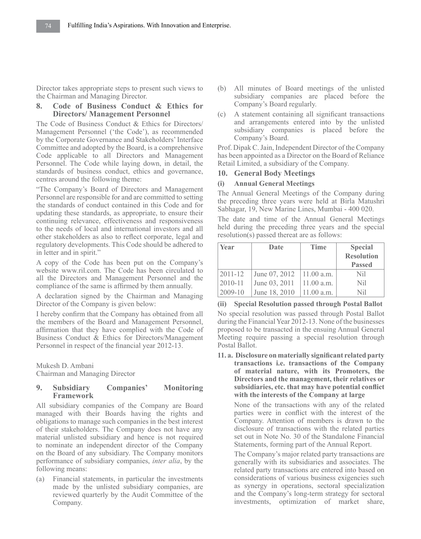Director takes appropriate steps to present such views to the Chairman and Managing Director.

### **8. Code of Business Conduct & Ethics for Directors/ Management Personnel**

The Code of Business Conduct & Ethics for Directors/ Management Personnel ('the Code'), as recommended by the Corporate Governance and Stakeholders' Interface Committee and adopted by the Board, is a comprehensive Code applicable to all Directors and Management Personnel. The Code while laying down, in detail, the standards of business conduct, ethics and governance, centres around the following theme:

"The Company's Board of Directors and Management Personnel are responsible for and are committed to setting the standards of conduct contained in this Code and for updating these standards, as appropriate, to ensure their continuing relevance, effectiveness and responsiveness to the needs of local and international investors and all other stakeholders as also to reflect corporate, legal and regulatory developments. This Code should be adhered to in letter and in spirit."

A copy of the Code has been put on the Company's website www.ril.com. The Code has been circulated to all the Directors and Management Personnel and the compliance of the same is affirmed by them annually.

A declaration signed by the Chairman and Managing Director of the Company is given below:

I hereby confirm that the Company has obtained from all the members of the Board and Management Personnel, affirmation that they have complied with the Code of Business Conduct & Ethics for Directors/Management Personnel in respect of the financial year 2012-13.

Mukesh D. Ambani Chairman and Managing Director

#### **9. Subsidiary Companies' Monitoring Framework**

All subsidiary companies of the Company are Board managed with their Boards having the rights and obligations to manage such companies in the best interest of their stakeholders. The Company does not have any material unlisted subsidiary and hence is not required to nominate an independent director of the Company on the Board of any subsidiary. The Company monitors performance of subsidiary companies, *inter alia*, by the following means:

(a) Financial statements, in particular the investments made by the unlisted subsidiary companies, are reviewed quarterly by the Audit Committee of the Company.

- (b) All minutes of Board meetings of the unlisted subsidiary companies are placed before the Company's Board regularly.
- (c) A statement containing all significant transactions and arrangements entered into by the unlisted subsidiary companies is placed before the Company's Board.

Prof. Dipak C. Jain, Independent Director of the Company has been appointed as a Director on the Board of Reliance Retail Limited, a subsidiary of the Company.

#### **10. General Body Meetings**

#### **(i) Annual General Meetings**

The Annual General Meetings of the Company during the preceding three years were held at Birla Matushri Sabhagar, 19, New Marine Lines, Mumbai - 400 020.

The date and time of the Annual General Meetings held during the preceding three years and the special resolution(s) passed thereat are as follows:

| Year        | Date          | <b>Time</b>  | <b>Special</b>    |
|-------------|---------------|--------------|-------------------|
|             |               |              | <b>Resolution</b> |
|             |               |              | <b>Passed</b>     |
| $2011 - 12$ | June 07, 2012 | $11.00$ a.m. | N <sub>i</sub>    |
| $2010 - 11$ | June 03, 2011 | 11.00 a.m.   | N <sub>i</sub>    |
| $2009 - 10$ | June 18, 2010 | 11.00 a.m.   | Nil               |

**(ii) Special Resolution passed through Postal Ballot**

No special resolution was passed through Postal Ballot during the Financial Year 2012-13. None of the businesses proposed to be transacted in the ensuing Annual General Meeting require passing a special resolution through Postal Ballot.

**11. a. Disclosure on materially significant related party transactions i.e. transactions of the Company of material nature, with its Promoters, the Directors and the management, their relatives or subsidiaries, etc. that may have potential conflict with the interests of the Company at large**

None of the transactions with any of the related parties were in conflict with the interest of the Company. Attention of members is drawn to the disclosure of transactions with the related parties set out in Note No. 30 of the Standalone Financial Statements, forming part of the Annual Report.

The Company's major related party transactions are generally with its subsidiaries and associates. The related party transactions are entered into based on considerations of various business exigencies such as synergy in operations, sectoral specialization and the Company's long-term strategy for sectoral investments, optimization of market share,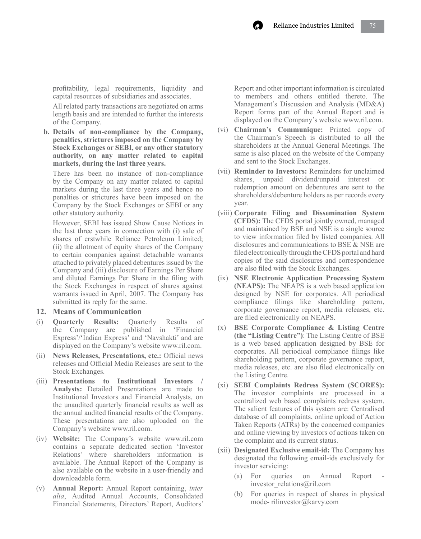profitability, legal requirements, liquidity and capital resources of subsidiaries and associates.

All related party transactions are negotiated on arms length basis and are intended to further the interests of the Company.

 **b. Details of non-compliance by the Company, penalties, strictures imposed on the Company by Stock Exchanges or SEBI, or any other statutory authority, on any matter related to capital markets, during the last three years.**

There has been no instance of non-compliance by the Company on any matter related to capital markets during the last three years and hence no penalties or strictures have been imposed on the Company by the Stock Exchanges or SEBI or any other statutory authority.

However, SEBI has issued Show Cause Notices in the last three years in connection with (i) sale of shares of erstwhile Reliance Petroleum Limited; (ii) the allotment of equity shares of the Company to certain companies against detachable warrants attached to privately placed debentures issued by the Company and (iii) disclosure of Earnings Per Share and diluted Earnings Per Share in the filing with the Stock Exchanges in respect of shares against warrants issued in April, 2007. The Company has submitted its reply for the same.

### **12. Means of Communication**

- (i) **Quarterly Results:** Quarterly Results of the Company are published in 'Financial Express'/'Indian Express' and 'Navshakti' and are displayed on the Company's website www.ril.com.
- (ii) **News Releases, Presentations, etc.:** Official news releases and Official Media Releases are sent to the Stock Exchanges.
- (iii) **Presentations to Institutional Investors / Analysts:** Detailed Presentations are made to Institutional Investors and Financial Analysts, on the unaudited quarterly financial results as well as the annual audited financial results of the Company. These presentations are also uploaded on the Company's website www.ril.com.
- (iv) **Website:** The Company's website www.ril.com contains a separate dedicated section 'Investor Relations' where shareholders information is available. The Annual Report of the Company is also available on the website in a user-friendly and downloadable form.
- (v) **Annual Report:** Annual Report containing, *inter alia*, Audited Annual Accounts, Consolidated Financial Statements, Directors' Report, Auditors'

Report and other important information is circulated to members and others entitled thereto. The Management's Discussion and Analysis (MD&A) Report forms part of the Annual Report and is displayed on the Company's website www.ril.com.

- (vi) **Chairman's Communique:** Printed copy of the Chairman's Speech is distributed to all the shareholders at the Annual General Meetings. The same is also placed on the website of the Company and sent to the Stock Exchanges.
- (vii) **Reminder to Investors:** Reminders for unclaimed shares, unpaid dividend/unpaid interest redemption amount on debentures are sent to the shareholders/debenture holders as per records every year.
- (viii) **Corporate Filing and Dissemination System (CFDS):** The CFDS portal jointly owned, managed and maintained by BSE and NSE is a single source to view information filed by listed companies. All disclosures and communications to BSE & NSE are filed electronically through the CFDS portal and hard copies of the said disclosures and correspondence are also filed with the Stock Exchanges.
- (ix) **NSE Electronic Application Processing System (NEAPS):** The NEAPS is a web based application designed by NSE for corporates. All periodical compliance filings like shareholding pattern, corporate governance report, media releases, etc. are filed electronically on NEAPS.
- (x) **BSE Corporate Compliance & Listing Centre (the "Listing Centre")**: The Listing Centre of BSE is a web based application designed by BSE for corporates. All periodical compliance filings like shareholding pattern, corporate governance report, media releases, etc. are also filed electronically on the Listing Centre.
- (xi) **SEBI Complaints Redress System (SCORES):**  The investor complaints are processed in a centralized web based complaints redress system. The salient features of this system are: Centralised database of all complaints, online upload of Action Taken Reports (ATRs) by the concerned companies and online viewing by investors of actions taken on the complaint and its current status.
- (xii) **Designated Exclusive email-id:** The Company has designated the following email-ids exclusively for investor servicing:
	- (a) For queries on Annual Report investor\_relations@ril.com
	- (b) For queries in respect of shares in physical mode- rilinvestor@karvy.com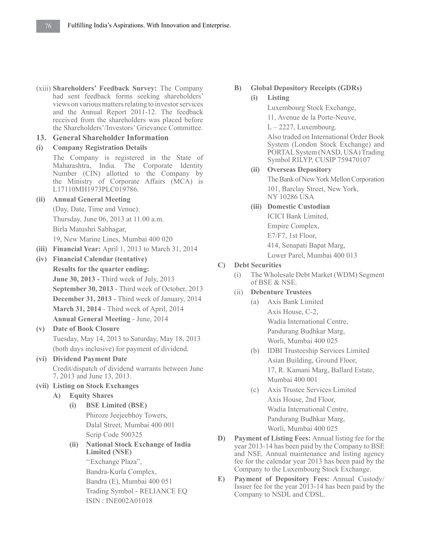(xiii) **Shareholders' Feedback Survey:** The Company had sent feedback forms seeking shareholders' views on various matters relating to investor services and the Annual Report 2011-12. The feedback received from the shareholders was placed before the Shareholders'/Investors' Grievance Committee.

#### **13. General Shareholder Information**

#### **(i) Company Registration Details**

The Company is registered in the State of Maharashtra, India. The Corporate Identity Number (CIN) allotted to the Company by the Ministry of Corporate Affairs (MCA) is L17110MH1973PLC019786.

- **(ii) Annual General Meeting** (Day, Date, Time and Venue): Thursday, June 06, 2013 at 11.00 a.m. Birla Matushri Sabhagar, 19, New Marine Lines, Mumbai 400 020
- **(iii) Financial Year:** April 1, 2013 to March 31, 2014
- **(iv) Financial Calendar (tentative) Results for the quarter ending: June 30, 2013 -** Third week of July, 2013 **September 30, 2013** - Third week of October, 2013 **December 31, 2013** - Third week of January, 2014 **March 31, 2014** - Third week of April, 2014 **Annual General Meeting** - June, 2014

# **(v) Date of Book Closure** Tuesday, May 14, 2013 to Saturday, May 18, 2013 (both days inclusive) for payment of dividend.

- **(vi) Dividend Payment Date** Credit/dispatch of dividend warrants between June 7, 2013 and June 13, 2013.
- **(vii) Listing on Stock Exchanges**
	- **A) Equity Shares**

# **(i) BSE Limited (BSE)**

 Phiroze Jeejeebhoy Towers, Dalal Street, Mumbai 400 001 Scrip Code 500325

 **(ii) National Stock Exchange of India Limited (NSE)**

> ''Exchange Plaza", Bandra-Kurla Complex, Bandra (E), Mumbai 400 051 Trading Symbol - RELIANCE EQ ISIN : INE002A01018

**B) Global Depository Receipts (GDRs)**

### **(i) Listing**

Luxembourg Stock Exchange,

11, Avenue de la Porte-Neuve,

 $L - 2227$ , Luxembourg.

 Also traded on International Order Book System (London Stock Exchange) and PORTAL System (NASD, USA) Trading Symbol RILYP, CUSIP 759470107

 **(ii) Overseas Depository**

 The Bank of New York Mellon Corporation 101, Barclay Street, New York, NY 10286 USA

 **(iii) Domestic Custodian**

 ICICI Bank Limited, Empire Complex, E7/F7, 1st Floor, 414, Senapati Bapat Marg, Lower Parel, Mumbai 400 013

### **C) Debt Securities**

- (i) The Wholesale Debt Market (WDM) Segment of BSE & NSE.
- (ii) **Debenture Trustees**
	- (a) Axis Bank Limited Axis House, C-2, Wadia International Centre, Pandurang Budhkar Marg, Worli, Mumbai 400 025
	- (b) IDBI Trusteeship Services Limited Asian Building, Ground Floor, 17, R. Kamani Marg, Ballard Estate, Mumbai 400 001
	- (c) Axis Trustee Services Limited Axis House, 2nd Floor, Wadia International Centre, Pandurang Budhkar Marg, Worli, Mumbai 400 025
- **D) Payment of Listing Fees:** Annual listing fee for the year 2013-14 has been paid by the Company to BSE and NSE. Annual maintenance and listing agency fee for the calendar year 2013 has been paid by the Company to the Luxembourg Stock Exchange.
- **E) Payment of Depository Fees:** Annual Custody/ Issuer fee for the year 2013-14 has been paid by the Company to NSDL and CDSL.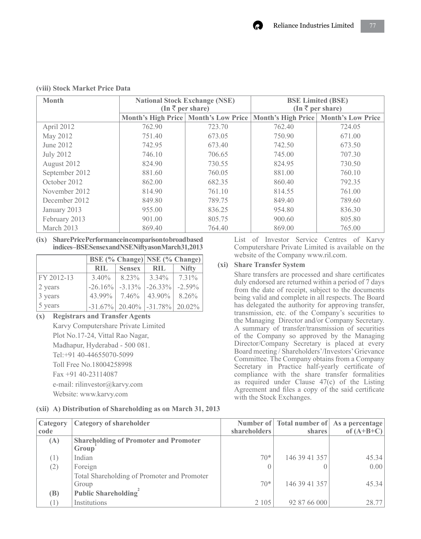|  |  | (viii) Stock Market Price Data |  |  |
|--|--|--------------------------------|--|--|
|--|--|--------------------------------|--|--|

| <b>Month</b>     | <b>National Stock Exchange (NSE)</b>   |                            | <b>BSE Limited (BSE)</b>      |                                        |  |
|------------------|----------------------------------------|----------------------------|-------------------------------|----------------------------------------|--|
|                  |                                        | $(\ln \bar{z})$ per share) | $(\ln \bar{\tau})$ per share) |                                        |  |
|                  | Month's High Price   Month's Low Price |                            |                               | Month's High Price   Month's Low Price |  |
| April 2012       | 762.90                                 | 723.70                     | 762.40                        | 724.05                                 |  |
| May 2012         | 751.40                                 | 673.05                     | 750.90                        | 671.00                                 |  |
| June 2012        | 742.95                                 | 673.40                     | 742.50                        | 673.50                                 |  |
| <b>July 2012</b> | 746.10                                 | 706.65                     | 745.00                        | 707.30                                 |  |
| August 2012      | 824.90                                 | 730.55                     | 824.95                        | 730.50                                 |  |
| September 2012   | 881.60                                 | 760.05                     | 881.00                        | 760.10                                 |  |
| October 2012     | 862.00                                 | 682.35                     | 860.40                        | 792.35                                 |  |
| November 2012    | 814.90                                 | 761.10                     | 814.55                        | 761.00                                 |  |
| December 2012    | 849.80                                 | 789.75                     | 849.40                        | 789.60                                 |  |
| January 2013     | 955.00                                 | 836.25                     | 954.80                        | 836.30                                 |  |
| February 2013    | 901.00                                 | 805.75                     | 900.60                        | 805.80                                 |  |
| March 2013       | 869.40                                 | 764.40                     | 869.00                        | 765.00                                 |  |

**(ix) Share Price Performance in comparison to broad based indices – BSE Sensex and NSE Nifty as on March 31, 2013**

|            |            |               | BSE (% Change) NSE (% Change)       |              |  |
|------------|------------|---------------|-------------------------------------|--------------|--|
|            | <b>RIL</b> | <b>Sensex</b> | <b>RIL</b>                          | <b>Nifty</b> |  |
| FY 2012-13 | $3.40\%$   | 8.23%         | $3.34\%$                            | 7.31%        |  |
| 2 years    | $-26.16%$  | $-3.13\%$     | $-26.33\%$                          | $-2.59%$     |  |
| 3 years    | 43.99%     | 7.46%         | 43.90%                              | 8.26%        |  |
| 5 years    |            |               | $-31.67\%$ 20.40% $-31.78\%$ 20.02% |              |  |

**(x) Registrars and Transfer Agents** Karvy Computershare Private Limited

Plot No.17-24, Vittal Rao Nagar, Madhapur, Hyderabad - 500 081. Tel:+91 40-44655070-5099 Toll Free No.18004258998 Fax +91 40-23114087 e-mail: rilinvestor@karvy.com Website: www.karvy.com

**(xii) A) Distribution of Shareholding as on March 31, 2013**

List of Investor Service Centres of Karvy Computershare Private Limited is available on the website of the Company www.ril.com.

### **(xi) Share Transfer System**

Share transfers are processed and share certificates duly endorsed are returned within a period of 7 days from the date of receipt, subject to the documents being valid and complete in all respects. The Board has delegated the authority for approving transfer, transmission, etc. of the Company's securities to the Managing Director and/or Company Secretary. A summary of transfer/transmission of securities of the Company so approved by the Managing Director/Company Secretary is placed at every Board meeting / Shareholders'/Investors' Grievance Committee. The Company obtains from a Company Secretary in Practice half-yearly certificate of compliance with the share transfer formalities as required under Clause 47(c) of the Listing Agreement and files a copy of the said certificate with the Stock Exchanges.

| Category | <b>Category of shareholder</b>                       |              | Number of Total number of As a percentage |              |
|----------|------------------------------------------------------|--------------|-------------------------------------------|--------------|
| code     |                                                      | shareholders | shares                                    | of $(A+B+C)$ |
| (A)      | <b>Shareholding of Promoter and Promoter</b>         |              |                                           |              |
|          | <b>Group</b>                                         |              |                                           |              |
| (1)      | Indian                                               | $70*$        | 146 39 41 357                             | 45.34        |
| (2)      | Foreign                                              |              |                                           | 0.00         |
|          | Total Shareholding of Promoter and Promoter<br>Group | $70*$        | 146 39 41 357                             | 45.34        |
| (B)      | <b>Public Shareholding</b>                           |              |                                           |              |
|          | Institutions                                         | 2 1 0 5      | 92 87 66 000                              | 28.77        |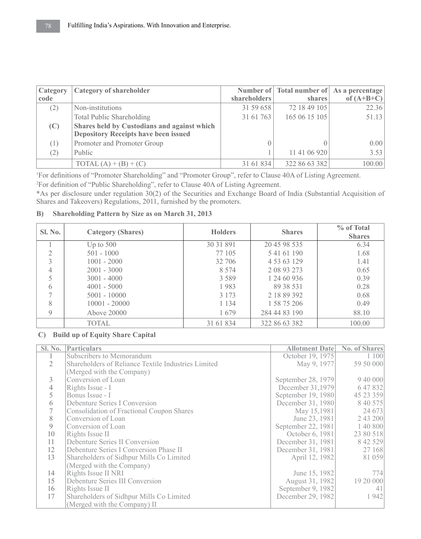| Category<br>code | Category of shareholder                                                                    | shareholders | Number of Total number of As a percentage<br>shares | of $(A+B+C)$ |
|------------------|--------------------------------------------------------------------------------------------|--------------|-----------------------------------------------------|--------------|
| (2)              | Non-institutions                                                                           | 31 59 658    | 72 18 49 105                                        | 22.36        |
|                  | <b>Total Public Shareholding</b>                                                           | 31 61 763    | 165 06 15 105                                       | 51.13        |
| (C)              | Shares held by Custodians and against which<br><b>Depository Receipts have been issued</b> |              |                                                     |              |
| (1)              | Promoter and Promoter Group                                                                |              |                                                     | 0.00         |
| (2)              | Public                                                                                     |              | 11 41 06 920                                        | 3.53         |
|                  | TOTAL $(A) + (B)$                                                                          | 31 61 834    | 322 86 63 382                                       | 100.00       |

1 For definitions of "Promoter Shareholding" and "Promoter Group", refer to Clause 40A of Listing Agreement.

2 For definition of "Public Shareholding", refer to Clause 40A of Listing Agreement.

\*As per disclosure under regulation 30(2) of the Securities and Exchange Board of India (Substantial Acquisition of Shares and Takeovers) Regulations, 2011, furnished by the promoters.

# **B) Shareholding Pattern by Size as on March 31, 2013**

| Sl. No.     | <b>Category (Shares)</b> | <b>Holders</b> | <b>Shares</b> | % of Total<br><b>Shares</b> |
|-------------|--------------------------|----------------|---------------|-----------------------------|
|             | Up to $500$              | 30 31 891      | 20 45 98 535  | 6.34                        |
| ◠           | $501 - 1000$             | 77 105         | 5 41 61 190   | 1.68                        |
| ζ           | $1001 - 2000$            | 32 706         | 4 53 63 129   | 1.41                        |
| 4           | $2001 - 3000$            | 8 5 7 4        | 2 08 93 273   | 0.65                        |
|             | $3001 - 4000$            | 3 5 8 9        | 1 24 60 936   | 0.39                        |
| 6           | $4001 - 5000$            | 1983           | 89 38 531     | 0.28                        |
|             | $5001 - 10000$           | 3 1 7 3        | 2 18 89 392   | 0.68                        |
| 8           | $10001 - 20000$          | 1 1 3 4        | 1 58 75 206   | 0.49                        |
| $\mathbf Q$ | Above 20000              | 1679           | 284 44 83 190 | 88.10                       |
|             | <b>TOTAL</b>             | 31 61 834      | 322 86 63 382 | 100.00                      |

### **C) Build up of Equity Share Capital**

| <b>Sl. No.</b> | Particulars                                         | <b>Allotment Date</b> | No. of Shares |
|----------------|-----------------------------------------------------|-----------------------|---------------|
|                | Subscribers to Memorandum                           | October 19, 1975      | 1 100         |
| $\overline{2}$ | Shareholders of Reliance Textile Industries Limited | May 9, 1977           | 59 50 000     |
|                | (Merged with the Company)                           |                       |               |
| 3              | Conversion of Loan                                  | September 28, 1979    | 9 40 000      |
| $\overline{4}$ | Rights Issue - I                                    | December 31,1979      | 6 47 8 32     |
| 5              | Bonus Issue - I                                     | September 19, 1980    | 45 23 359     |
| 6              | Debenture Series I Conversion                       | December 31, 1980     | 8 40 5 7 5    |
|                | Consolidation of Fractional Coupon Shares           | May 15,1981           | 24 673        |
| 8              | Conversion of Loan                                  | June 23, 1981         | 2 43 200      |
| 9              | Conversion of Loan                                  | September 22, 1981    | 1 40 800      |
| 10             | Rights Issue II                                     | October 6, 1981       | 23 80 518     |
| 11             | Debenture Series II Conversion                      | December 31, 1981     | 8 42 5 29     |
| 12             | Debenture Series I Conversion Phase II              | December 31, 1981     | 27 168        |
| 13             | Shareholders of Sidhpur Mills Co Limited            | April 12, 1982        | 81 059        |
|                | (Merged with the Company)                           |                       |               |
| 14             | Rights Issue II NRI                                 | June 15, 1982         | 774I          |
| 15             | Debenture Series III Conversion                     | August 31, 1982       | 19 20 000     |
| 16             | Rights Issue II                                     | September 9, 1982     | 41            |
| 17             | Shareholders of Sidhpur Mills Co Limited            | December 29, 1982     | 1942          |
|                | (Merged with the Company) II                        |                       |               |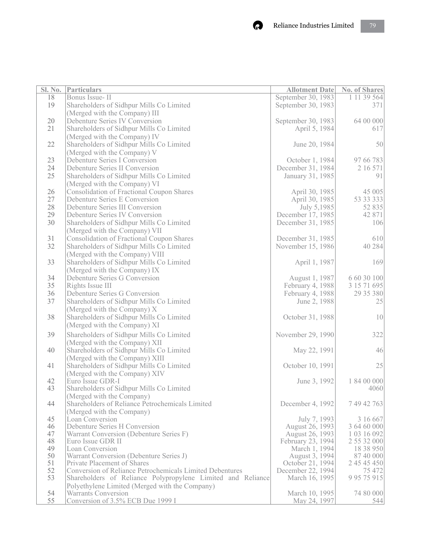| $\overline{\text{SL No.}}$ | Particulars                                                 | <b>Allotment Date</b> | <b>No. of Shares</b> |
|----------------------------|-------------------------------------------------------------|-----------------------|----------------------|
| 18                         | Bonus Issue-II                                              | September 30, 1983    | 11139564             |
| 19                         | Shareholders of Sidhpur Mills Co Limited                    | September 30, 1983    | 371                  |
|                            | (Merged with the Company) III                               |                       |                      |
| 20                         | Debenture Series IV Conversion                              | September 30, 1983    | 64 00 000            |
| 21                         | Shareholders of Sidhpur Mills Co Limited                    | April 5, 1984         | 617                  |
|                            | (Merged with the Company) IV                                |                       |                      |
| 22                         | Shareholders of Sidhpur Mills Co Limited                    | June 20, 1984         | 50                   |
|                            | (Merged with the Company) V                                 |                       |                      |
| 23                         | Debenture Series I Conversion                               | October 1, 1984       | 97 66 783            |
| 24                         |                                                             |                       |                      |
|                            | Debenture Series II Conversion                              | December 31, 1984     | 2 16 571             |
| 25                         | Shareholders of Sidhpur Mills Co Limited                    | January 31, 1985      | 91                   |
|                            | (Merged with the Company) VI                                |                       |                      |
| 26                         | Consolidation of Fractional Coupon Shares                   | April 30, 1985        | 45 005               |
| 27                         | Debenture Series E Conversion                               | April 30, 1985        | 53 33 333            |
| 28                         | Debenture Series III Conversion                             | July 5,1985           | 52 835               |
| 29                         | Debenture Series IV Conversion                              | December 17, 1985     | 42 871               |
| 30                         | Shareholders of Sidhpur Mills Co Limited                    | December 31, 1985     | 106                  |
|                            | (Merged with the Company) VII                               |                       |                      |
| 31                         | Consolidation of Fractional Coupon Shares                   | December 31, 1985     | 610                  |
| 32                         | Shareholders of Sidhpur Mills Co Limited                    | November 15, 1986     | 40 284               |
|                            | (Merged with the Company) VIII                              |                       |                      |
| 33                         | Shareholders of Sidhpur Mills Co Limited                    | April 1, 1987         | 169                  |
|                            | (Merged with the Company) IX                                |                       |                      |
| 34                         | Debenture Series G Conversion                               | August 1, 1987        | 6 60 30 100          |
| 35                         | Rights Issue III                                            | February 4, 1988      | 3 15 71 695          |
| 36                         | Debenture Series G Conversion                               | February 4, 1988      | 29 35 380            |
| 37                         | Shareholders of Sidhpur Mills Co Limited                    | June 2, 1988          | 25                   |
|                            | (Merged with the Company) X                                 |                       |                      |
| 38                         |                                                             |                       | 10                   |
|                            | Shareholders of Sidhpur Mills Co Limited                    | October 31, 1988      |                      |
|                            | (Merged with the Company) XI                                |                       |                      |
| 39                         | Shareholders of Sidhpur Mills Co Limited                    | November 29, 1990     | 322                  |
|                            | (Merged with the Company) XII                               |                       |                      |
| 40                         | Shareholders of Sidhpur Mills Co Limited                    | May 22, 1991          | 46                   |
|                            | (Merged with the Company) XIII                              |                       |                      |
| 41                         | Shareholders of Sidhpur Mills Co Limited                    | October 10, 1991      | 25                   |
|                            | (Merged with the Company) XIV                               |                       |                      |
| 42                         | Euro Issue GDR-I                                            | June 3, 1992          | 1 84 00 000          |
| 43                         | Shareholders of Sidhpur Mills Co Limited                    |                       | 4060                 |
|                            | (Merged with the Company)                                   |                       |                      |
| 44                         | Shareholders of Reliance Petrochemicals Limited             | December 4, 1992      | 7 49 42 763          |
|                            | (Merged with the Company)                                   |                       |                      |
| 45                         | Loan Conversion                                             | July 7, 1993          | 3 16 6 67            |
| 46                         | Debenture Series H Conversion                               | August 26, 1993       | 3 64 60 000          |
| 47                         | Warrant Conversion (Debenture Series F)                     | August 26, 1993       | 1 03 16 092          |
| 48                         | Euro Issue GDR II                                           | February 23, 1994     | 2 55 32 000          |
| 49                         | Loan Conversion                                             | March 1, 1994         | 18 38 950            |
| 50                         | Warrant Conversion (Debenture Series J)                     | August 3, 1994        | 87 40 000            |
| 51                         | Private Placement of Shares                                 | October 21, 1994      | 2 45 45 450          |
| 52                         | Conversion of Reliance Petrochemicals Limited Debentures    | December 22, 1994     | 75 472               |
| 53                         | Shareholders of Reliance Polypropylene Limited and Reliance | March 16, 1995        | 9 9 5 7 5 9 1 5      |
|                            | Polyethylene Limited (Merged with the Company)              |                       |                      |
| 54                         | Warrants Conversion                                         | March 10, 1995        | 74 80 000            |
| 55                         | Conversion of 3.5% ECB Due 1999 I                           | May 24, 1997          | 544                  |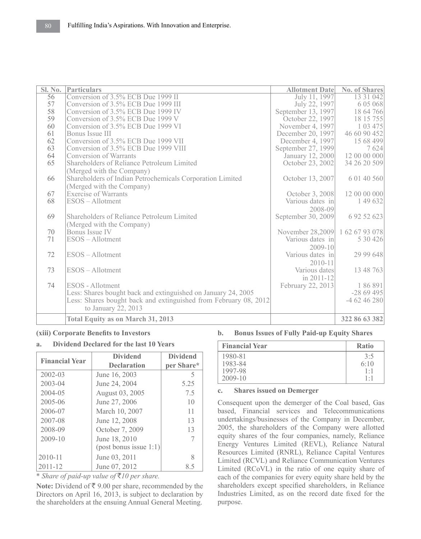| Sl. No. | Particulars                                                      | <b>Allotment Date</b> | No. of Shares  |
|---------|------------------------------------------------------------------|-----------------------|----------------|
| 56      | Conversion of 3.5% ECB Due 1999 II                               | July 11, 1997         | 13 31 042      |
| 57      | Conversion of 3.5% ECB Due 1999 III                              | July 22, 1997         | 6 05 068       |
| 58      | Conversion of 3.5% ECB Due 1999 IV                               | September 13, 1997    | 18 64 766      |
| 59      | Conversion of 3.5% ECB Due 1999 V                                | October 22, 1997      | 18 15 755      |
| 60      | Conversion of 3.5% ECB Due 1999 VI                               | November 4, 1997      | 1 03 475       |
| 61      | Bonus Issue III                                                  | December 20, 1997     | 46 60 90 452   |
| 62      | Conversion of 3.5% ECB Due 1999 VII                              | December 4, 1997      | 15 68 499      |
| 63      | Conversion of 3.5% ECB Due 1999 VIII                             | September 27, 1999    | 7624           |
| 64      | Conversion of Warrants                                           | January 12, 2000      | 12 00 00 000   |
| 65      | Shareholders of Reliance Petroleum Limited                       | October 23, 2002      | 34 26 20 509   |
|         | (Merged with the Company)                                        |                       |                |
| 66      | Shareholders of Indian Petrochemicals Corporation Limited        | October 13, 2007      | 6 01 40 560    |
|         | (Merged with the Company)                                        |                       |                |
| 67      | <b>Exercise of Warrants</b>                                      | October 3, 2008       | 12 00 00 000   |
| 68      | ESOS - Allotment                                                 | Various dates in      | 1 49 632       |
|         |                                                                  | $2008 - 09$           |                |
| 69      | Shareholders of Reliance Petroleum Limited                       | September 30, 2009    | 6 92 52 623    |
|         | (Merged with the Company)                                        |                       |                |
| 70      | Bonus Issue IV                                                   | November 28,2009      | 1 62 67 93 078 |
| 71      | ESOS - Allotment                                                 | Various dates in      | 5 30 4 26      |
|         |                                                                  | $2009 - 10$           |                |
| 72      | ESOS - Allotment                                                 | Various dates in      | 29 99 648      |
|         |                                                                  | $2010 - 11$           |                |
| 73      | $ESOS - Allotment$                                               | Various dates         | 13 48 763      |
|         |                                                                  | in 2011-12            |                |
| 74      | <b>ESOS</b> - Allotment                                          | February 22, 2013     | 186891         |
|         | Less: Shares bought back and extinguished on January 24, 2005    |                       | $-2869495$     |
|         | Less: Shares bought back and extinguished from February 08, 2012 |                       | $-46246280$    |
|         | to January 22, 2013                                              |                       |                |
|         |                                                                  |                       |                |
|         | <b>Total Equity as on March 31, 2013</b>                         |                       | 322 86 63 382  |

#### **(xiii) Corporate Benefits to Investors**

### **a. Dividend Declared for the last 10 Years**

| <b>Financial Year</b> | <b>Dividend</b>          | <b>Dividend</b> |
|-----------------------|--------------------------|-----------------|
|                       | <b>Declaration</b>       | per Share*      |
| $2002 - 03$           | June 16, 2003            | 5               |
| $2003 - 04$           | June 24, 2004            | 5.25            |
| 2004-05               | August 03, 2005          | 7.5             |
| 2005-06               | June 27, 2006            | 10              |
| 2006-07               | March 10, 2007           | 11              |
| 2007-08               | June 12, 2008            | 13              |
| 2008-09               | October 7, 2009          | 13              |
| $2009 - 10$           | June 18, 2010            |                 |
|                       | $-post$ bonus issue 1:1) |                 |
| 2010-11               | June 03, 2011            | 8               |
| $2011 - 12$           | June 07, 2012            | 8.5             |

\* *Share of paid-up value of* `*10 per share.*

**Note:** Dividend of  $\bar{\mathbf{\xi}}$  9.00 per share, recommended by the Directors on April 16, 2013, is subject to declaration by the shareholders at the ensuing Annual General Meeting.

#### **b. Bonus Issues of Fully Paid-up Equity Shares**

| <b>Financial Year</b> | <b>Ratio</b> |
|-----------------------|--------------|
| 1980-81               | 3:5          |
| 1983-84               | 6:10         |
| 1997-98               | $1 \cdot 1$  |
| $2009 - 10$           | $1 \cdot 1$  |

#### **c. Shares issued on Demerger**

Consequent upon the demerger of the Coal based, Gas based, Financial services and Telecommunications undertakings/businesses of the Company in December, 2005, the shareholders of the Company were allotted equity shares of the four companies, namely, Reliance Energy Ventures Limited (REVL), Reliance Natural Resources Limited (RNRL), Reliance Capital Ventures Limited (RCVL) and Reliance Communication Ventures Limited (RCoVL) in the ratio of one equity share of each of the companies for every equity share held by the shareholders except specified shareholders, in Reliance Industries Limited, as on the record date fixed for the purpose.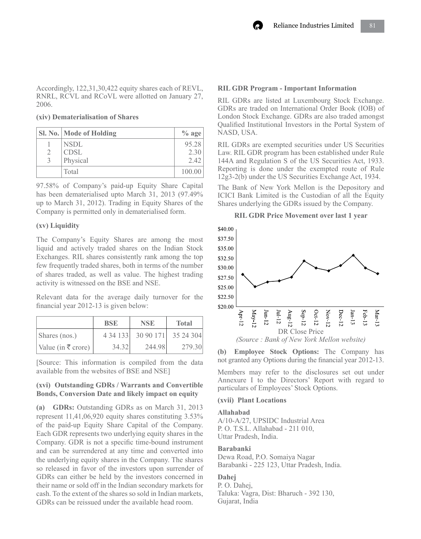Accordingly, 122,31,30,422 equity shares each of REVL, RNRL, RCVL and RCoVL were allotted on January 27, 2006.

### **(xiv) Dematerialisation of Shares**

|   | Sl. No.   Mode of Holding | $%$ age |
|---|---------------------------|---------|
|   | <b>NSDL</b>               | 95.28   |
|   | <b>CDSL</b>               | 2.30    |
| 3 | Physical                  | 2.42    |
|   | Total                     | 100.00  |

97.58% of Company's paid-up Equity Share Capital has been dematerialised upto March 31, 2013 (97.49% up to March 31, 2012). Trading in Equity Shares of the Company is permitted only in dematerialised form.

#### **(xv) Liquidity**

The Company's Equity Shares are among the most liquid and actively traded shares on the Indian Stock Exchanges. RIL shares consistently rank among the top few frequently traded shares, both in terms of the number of shares traded, as well as value. The highest trading activity is witnessed on the BSE and NSE.

Relevant data for the average daily turnover for the financial year 2012-13 is given below:

|                               | <b>BSE</b> | <b>NSE</b> | <b>Total</b> |
|-------------------------------|------------|------------|--------------|
| Shares (nos.)                 | 4 34 1 33  | 30 90 171  | 35 24 304    |
| Value (in $\bar{\tau}$ crore) | 34.32      | 244.98     | 279.30       |

[Source: This information is compiled from the data available from the websites of BSE and NSE]

## **(xvi) Outstanding GDRs / Warrants and Convertible Bonds, Conversion Date and likely impact on equity**

**(a) GDRs:** Outstanding GDRs as on March 31, 2013 represent 11,41,06,920 equity shares constituting 3.53% of the paid-up Equity Share Capital of the Company. Each GDR represents two underlying equity shares in the Company. GDR is not a specific time-bound instrument and can be surrendered at any time and converted into the underlying equity shares in the Company. The shares so released in favor of the investors upon surrender of GDRs can either be held by the investors concerned in their name or sold off in the Indian secondary markets for cash. To the extent of the shares so sold in Indian markets, GDRs can be reissued under the available head room.

### **RIL GDR Program - Important Information**

RIL GDRs are listed at Luxembourg Stock Exchange. GDRs are traded on International Order Book (IOB) of London Stock Exchange. GDRs are also traded amongst Qualified Institutional Investors in the Portal System of NASD, USA.

RIL GDRs are exempted securities under US Securities Law. RIL GDR program has been established under Rule 144A and Regulation S of the US Securities Act, 1933. Reporting is done under the exempted route of Rule 12g3-2(b) under the US Securities Exchange Act, 1934.

The Bank of New York Mellon is the Depository and ICICI Bank Limited is the Custodian of all the Equity Shares underlying the GDRs issued by the Company.

**RIL GDR Price Movement over last 1 year**



**(b) Employee Stock Options:** The Company has not granted any Options during the financial year 2012-13.

Members may refer to the disclosures set out under Annexure I to the Directors' Report with regard to particulars of Employees' Stock Options.

### **(xvii) Plant Locations**

#### **Allahabad**

A/10-A/27, UPSIDC Industrial Area P. O. T.S.L. Allahabad - 211 010, Uttar Pradesh, India.

#### **Barabanki**

Dewa Road, P.O. Somaiya Nagar Barabanki - 225 123, Uttar Pradesh, India.

## **Dahej**

P. O. Dahej, Taluka: Vagra, Dist: Bharuch - 392 130, Gujarat, India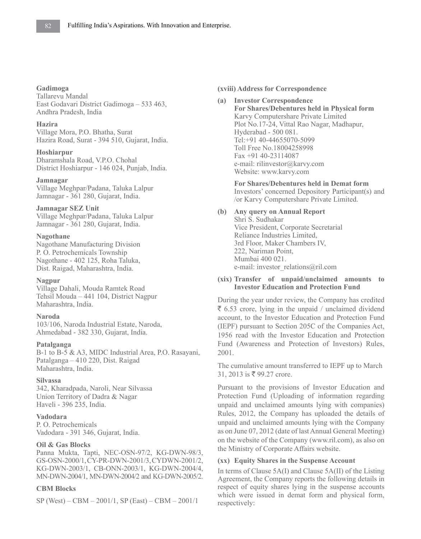### **Gadimoga**

Tallarevu Mandal East Godavari District Gadimoga – 533 463, Andhra Pradesh, India

### **Hazira**

Village Mora, P.O. Bhatha, Surat Hazira Road, Surat - 394 510, Gujarat, India.

#### **Hoshiarpur**

Dharamshala Road, V.P.O. Chohal District Hoshiarpur - 146 024, Punjab, India.

#### **Jamnagar**

Village Meghpar/Padana, Taluka Lalpur Jamnagar - 361 280, Gujarat, India.

#### **Jamnagar SEZ Unit**

Village Meghpar/Padana, Taluka Lalpur Jamnagar - 361 280, Gujarat, India.

#### **Nagothane**

Nagothane Manufacturing Division P. O. Petrochemicals Township Nagothane - 402 125, Roha Taluka, Dist. Raigad, Maharashtra, India.

#### **Nagpur**

Village Dahali, Mouda Ramtek Road Tehsil Mouda – 441 104, District Nagpur Maharashtra, India.

#### **Naroda**

103/106, Naroda Industrial Estate, Naroda, Ahmedabad - 382 330, Gujarat, India.

#### **Patalganga**

B-1 to B-5 & A3, MIDC Industrial Area, P.O. Rasayani, Patalganga – 410 220, Dist. Raigad Maharashtra, India.

#### **Silvassa**

342, Kharadpada, Naroli, Near Silvassa Union Territory of Dadra & Nagar Haveli - 396 235, India.

#### **Vadodara**

P. O. Petrochemicals Vadodara - 391 346, Gujarat, India.

#### **Oil & Gas Blocks**

Panna Mukta, Tapti, NEC-OSN-97/2, KG-DWN-98/3, GS-OSN-2000/1, CY-PR-DWN-2001/3, CYDWN-2001/2, KG-DWN-2003/1, CB-ONN-2003/1, KG-DWN-2004/4, MN-DWN-2004/1, MN-DWN-2004/2 and KG-DWN-2005/2.

#### **CBM Blocks**

SP (West) – CBM – 2001/1, SP (East) – CBM – 2001/1

#### **(xviii) Address for Correspondence**

**(a) Investor Correspondence For Shares/Debentures held in Physical form** Karvy Computershare Private Limited Plot No.17-24, Vittal Rao Nagar, Madhapur, Hyderabad - 500 081. Tel:+91 40-44655070-5099 Toll Free No.18004258998 Fax +91 40-23114087 e-mail: rilinvestor@karvy.com Website: www.karvy.com

> **For Shares/Debentures held in Demat form** Investors' concerned Depository Participant(s) and /or Karvy Computershare Private Limited.

## **(b) Any query on Annual Report** Shri S. Sudhakar Vice President, Corporate Secretarial Reliance Industries Limited, 3rd Floor, Maker Chambers IV, 222, Nariman Point, Mumbai 400 021. e-mail: investor\_relations@ril.com

### **(xix) Transfer of unpaid/unclaimed amounts to Investor Education and Protection Fund**

During the year under review, the Company has credited  $\bar{\xi}$  6.53 crore, lying in the unpaid / unclaimed dividend account, to the Investor Education and Protection Fund (IEPF) pursuant to Section 205C of the Companies Act, 1956 read with the Investor Education and Protection Fund (Awareness and Protection of Investors) Rules, 2001.

The cumulative amount transferred to IEPF up to March 31, 2013 is  $\bar{x}$  99.27 crore.

Pursuant to the provisions of Investor Education and Protection Fund (Uploading of information regarding unpaid and unclaimed amounts lying with companies) Rules, 2012, the Company has uploaded the details of unpaid and unclaimed amounts lying with the Company as on June 07, 2012 (date of last Annual General Meeting) on the website of the Company (www.ril.com), as also on the Ministry of Corporate Affairs website.

#### **(xx) Equity Shares in the Suspense Account**

In terms of Clause 5A(I) and Clause 5A(II) of the Listing Agreement, the Company reports the following details in respect of equity shares lying in the suspense accounts which were issued in demat form and physical form, respectively: